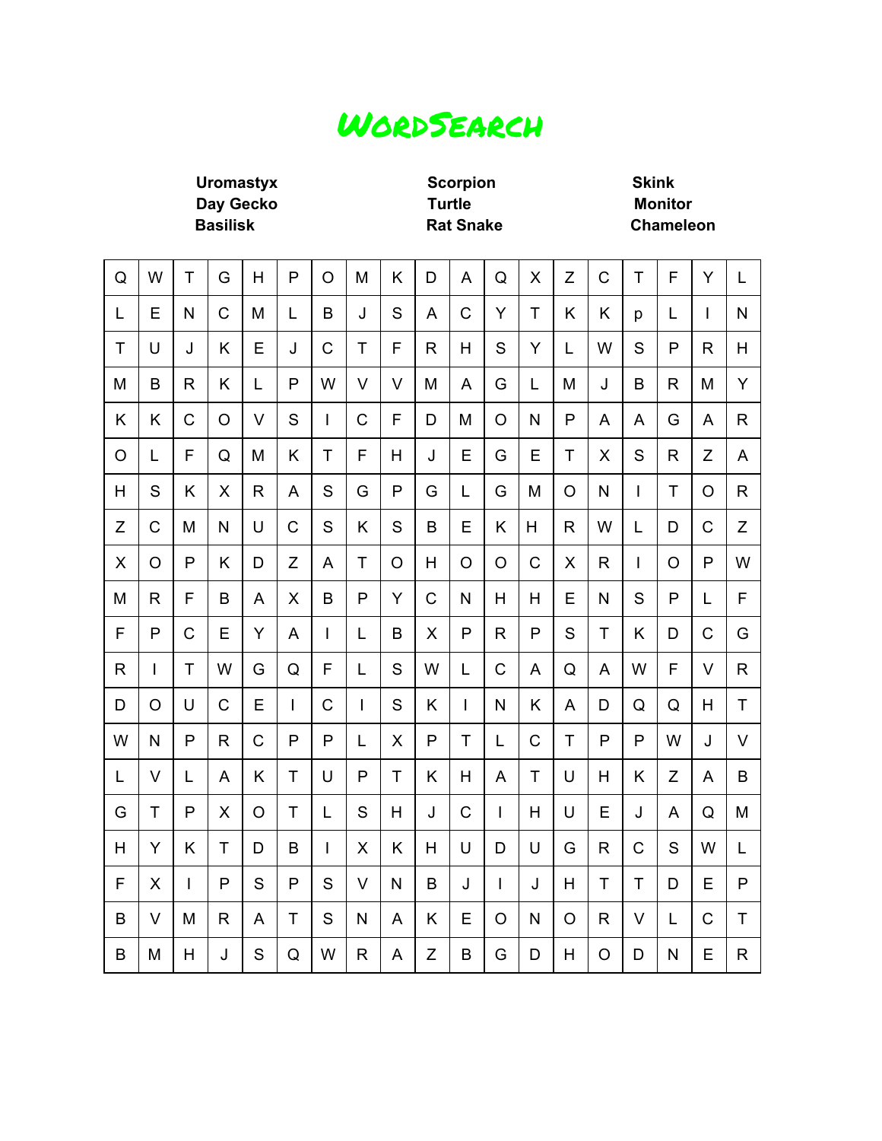### WordSearch

**Uromastyx Scorpion Skink Day Gecko Turtle Monitor Basilisk Rat Snake Chameleon**

÷

 $\overline{\phantom{a}}$ 

 $\overline{\phantom{a}}$ 

 $\overline{ }$ 

 $\overline{\phantom{a}}$ 

 $\overline{\phantom{a}}$ 

| Q            | W            | Т            | G              | H           | P            | $\overline{O}$ | M            | Κ              | D              | A            | Q            | X              | Z            | $\mathsf C$  | $\mathsf T$  | F            | Y              | L            |
|--------------|--------------|--------------|----------------|-------------|--------------|----------------|--------------|----------------|----------------|--------------|--------------|----------------|--------------|--------------|--------------|--------------|----------------|--------------|
| L            | E            | $\mathsf{N}$ | $\overline{C}$ | M           | L            | B              | J            | S              | A              | $\mathbf C$  | Ÿ            | T              | K            | K            | p            | L            | $\overline{1}$ | N            |
| $\mathsf{T}$ | U            | J            | K              | E           | J            | C              | T            | F              | $\mathsf{R}$   | H            | S            | Y              | L            | W            | S            | P            | R.             | H            |
| M            | B            | $\mathsf{R}$ | K              | L           | P            | W              | $\vee$       | $\vee$         | M              | A            | G            | L              | M            | J            | B            | $\mathsf{R}$ | M              | Y            |
| Κ            | Κ            | C            | $\circ$        | V           | S            | T              | C            | F              | D              | M            | $\circ$      | N              | P            | A            | A            | G            | A              | R            |
| O            | L            | F            | Q              | M           | Κ            | $\mathsf{T}$   | F            | H              | J              | E            | G            | E              | T            | X            | S            | R            | Z              | A            |
| H            | S            | Κ            | X              | $\mathsf R$ | A            | S              | G            | $\mathsf{P}$   | G              | L            | G            | M              | $\circ$      | N            | $\mathsf{I}$ | T            | $\circ$        | $\mathsf{R}$ |
| Z            | C            | M            | N              | U           | $\mathsf{C}$ | S              | Κ            | S              | B              | E            | Κ            | H              | $\mathsf{R}$ | W            | L            | D            | C              | Z            |
| X            | $\circ$      | P            | K              | D           | Z            | A              | T            | $\circ$        | H              | $\circ$      | $\circ$      | $\mathsf{C}$   | X            | $\mathsf{R}$ | I            | O            | P              | W            |
| M            | R            | F            | B              | A           | X            | B              | $\mathsf{P}$ | Y              | $\overline{C}$ | N            | H            | H              | E            | N            | S            | P            | L              | F            |
| F            | $\mathsf{P}$ | $\mathsf C$  | E              | Y           | A            | $\mathsf{I}$   | L            | B              | X              | $\mathsf{P}$ | $\mathsf{R}$ | P              | S            | T            | K            | D            | $\mathsf C$    | G            |
| R            | L            | T            | W              | G           | Q            | $\mathsf F$    | L            | S              | W              | L            | $\mathsf{C}$ | A              | Q            | A            | W            | F            | V              | $\mathsf{R}$ |
| D            | $\circ$      | U            | $\mathsf{C}$   | E           | I            | $\mathsf C$    | $\mathsf{I}$ | S              | K              | $\mathbf{I}$ | N            | K              | A            | D            | Q            | Q            | H              | T            |
| W            | N            | P            | R              | C           | P            | P              | L            | X              | P              | T            | L            | $\overline{C}$ | T            | P            | P            | W            | J              | $\vee$       |
| L            | $\vee$       | L            | A              | K           | T            | U              | P            | T              | K              | H            | A            | T              | U            | H            | K            | Z            | A              | B            |
| G            | $\mathsf T$  | P            | X              | O           | T            | L              | S            | H              | J              | $\mathsf{C}$ | L            | H              | U            | E            | J            | A            | Q              | M            |
| Н            | Υ            | Κ            | T              | D           | B            | I              | X            | K              | H              | U            | D            | U              | G            | $\mathsf{R}$ | $\mathsf C$  | S            | W              | L            |
| F            | X            | L            | $\mathsf{P}$   | S           | P            | S              | $\vee$       | N              | B              | J            | L            | J              | H            | $\mathsf{T}$ | $\mathsf{T}$ | D            | E              | P            |
| B            | $\vee$       | M            | R              | A           | T            | S              | $\mathsf{N}$ | $\overline{A}$ | K              | E            | $\circ$      | $\mathsf{N}$   | $\circ$      | $\mathsf{R}$ | $\vee$       | L            | $\mathsf{C}$   | T            |
| B            | M            | H            | J              | S           | Q            | W              | R.           | A              | Z              | B            | G            | D              | H            | O            | D            | N            | E              | R            |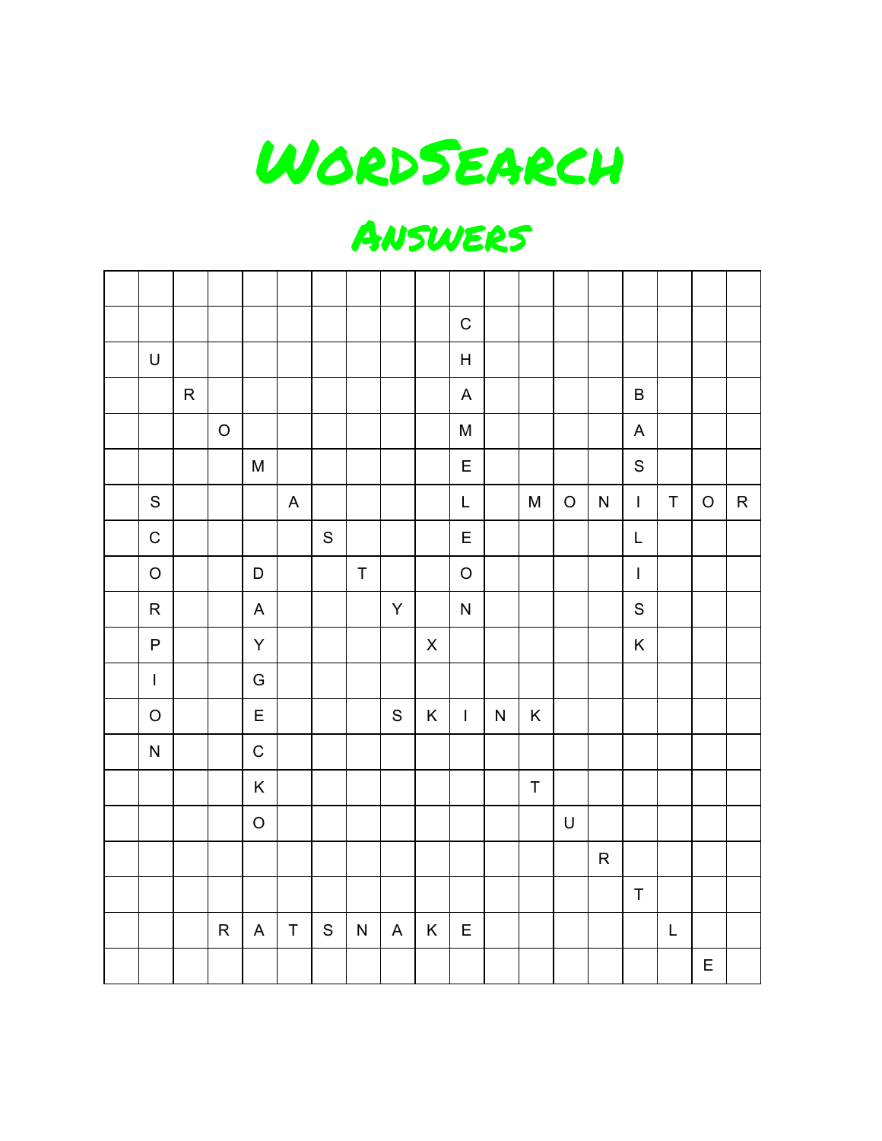

### Answers

|              |           |              |              |                           |               |              |               |                | $\mathsf C$                                                                                                 |   |             |             |           |                                       |             |             |           |
|--------------|-----------|--------------|--------------|---------------------------|---------------|--------------|---------------|----------------|-------------------------------------------------------------------------------------------------------------|---|-------------|-------------|-----------|---------------------------------------|-------------|-------------|-----------|
| $\sf U$      |           |              |              |                           |               |              |               |                | $\boldsymbol{\mathsf{H}}$                                                                                   |   |             |             |           |                                       |             |             |           |
|              | ${\sf R}$ |              |              |                           |               |              |               |                | $\boldsymbol{\mathsf{A}}$                                                                                   |   |             |             |           | $\sf B$                               |             |             |           |
|              |           | $\mathsf O$  |              |                           |               |              |               |                | $\mathsf{M}% _{T}=\mathsf{M}_{T}\!\left( a,b\right) ,\ \mathsf{M}_{T}=\mathsf{M}_{T}$                       |   |             |             |           | $\mathsf A$                           |             |             |           |
|              |           |              | ${\sf M}$    |                           |               |              |               |                | $\mathsf E$                                                                                                 |   |             |             |           | $\mathsf S$                           |             |             |           |
| ${\sf S}$    |           |              |              | $\boldsymbol{\mathsf{A}}$ |               |              |               |                | $\mathsf{L}% _{0}\left( \mathsf{L}_{0}\right) ^{\ast }=\mathsf{L}_{0}\left( \mathsf{L}_{0}\right) ^{\ast }$ |   | M           | $\mathsf O$ | ${\sf N}$ | $\mathbf{I}$                          | $\mathsf T$ | $\mathsf O$ | ${\sf R}$ |
| $\mathsf C$  |           |              |              |                           | ${\mathsf S}$ |              |               |                | $\mathsf E$                                                                                                 |   |             |             |           | L                                     |             |             |           |
| $\mathsf O$  |           |              | D            |                           |               | $\sf T$      |               |                | $\mathsf O$                                                                                                 |   |             |             |           | $\begin{array}{c} \hline \end{array}$ |             |             |           |
| ${\sf R}$    |           |              | $\mathsf A$  |                           |               |              | Y             |                | ${\sf N}$                                                                                                   |   |             |             |           | $\mathbf S$                           |             |             |           |
| $\sf P$      |           |              | Y            |                           |               |              |               | $\mathsf X$    |                                                                                                             |   |             |             |           | K                                     |             |             |           |
| $\mathsf{L}$ |           |              | G            |                           |               |              |               |                |                                                                                                             |   |             |             |           |                                       |             |             |           |
| $\mathsf O$  |           |              | $\mathsf E$  |                           |               |              | ${\mathsf S}$ | K              | $\mathbb{R}^n$                                                                                              | N | $\mathsf K$ |             |           |                                       |             |             |           |
| ${\sf N}$    |           |              | $\mathsf C$  |                           |               |              |               |                |                                                                                                             |   |             |             |           |                                       |             |             |           |
|              |           |              | $\mathsf K$  |                           |               |              |               |                |                                                                                                             |   | $\mathsf T$ |             |           |                                       |             |             |           |
|              |           |              | $\circ$      |                           |               |              |               |                |                                                                                                             |   |             | $\mathsf U$ |           |                                       |             |             |           |
|              |           |              |              |                           |               |              |               |                |                                                                                                             |   |             |             | ${\sf R}$ |                                       |             |             |           |
|              |           |              |              |                           |               |              |               |                |                                                                                                             |   |             |             |           | $\sf T$                               |             |             |           |
|              |           | $\mathsf{R}$ | $\mathsf{A}$ | $\mathsf T$               | S             | $\mathsf{N}$ | $\mathsf A$   | $\mathsf{K}^-$ | $\mathsf E$                                                                                                 |   |             |             |           |                                       | $\mathsf L$ |             |           |
|              |           |              |              |                           |               |              |               |                |                                                                                                             |   |             |             |           |                                       |             | $\mathsf E$ |           |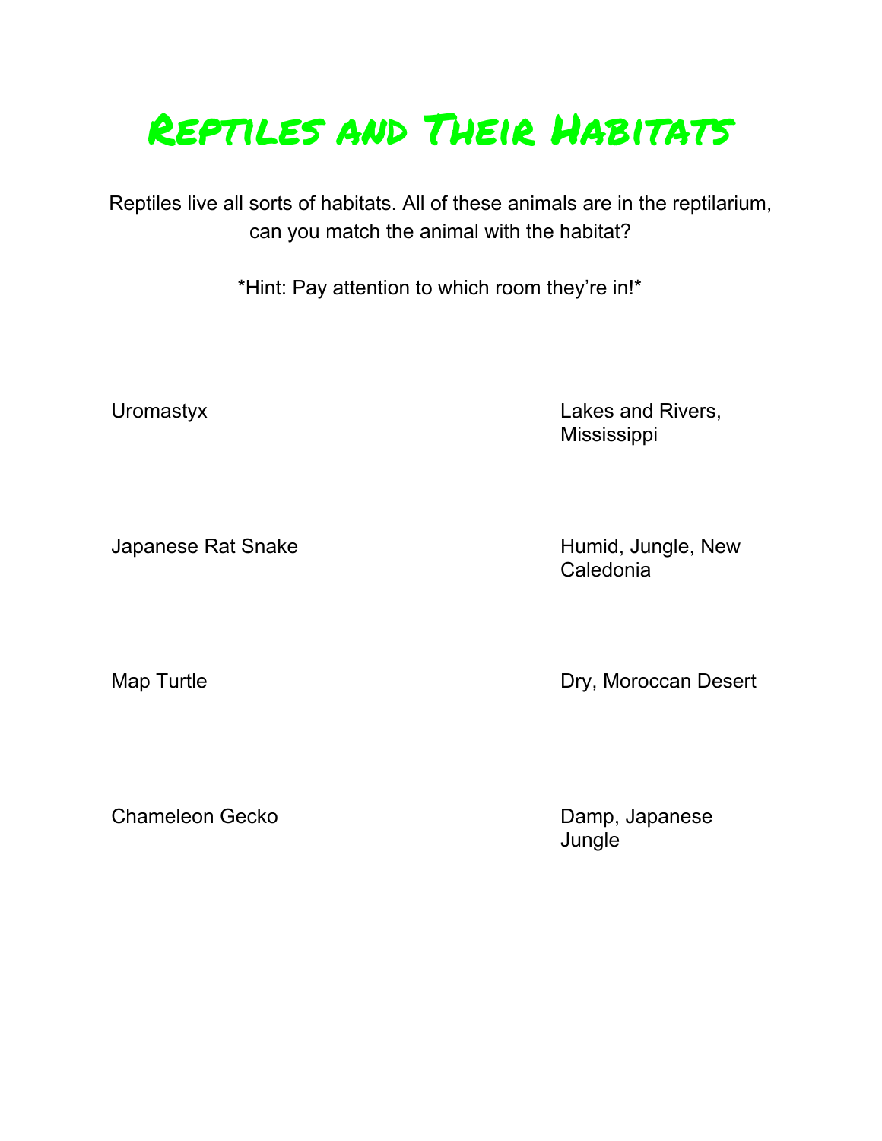# Reptiles and Their Habitats

Reptiles live all sorts of habitats. All of these animals are in the reptilarium, can you match the animal with the habitat?

\*Hint: Pay attention to which room they're in!\*

Uromastyx Lakes and Rivers, Mississippi

Japanese Rat Snake Humid, Jungle, New

Caledonia

Map Turtle **Map Turtle Contract Contract Contract Contract Contract Contract Contract Contract Contract Contract Contract Contract Contract Contract Contract Contract Contract Contract Contract Contract Contract Contract C** 

Chameleon Gecko Damp, Japanese

**Jungle**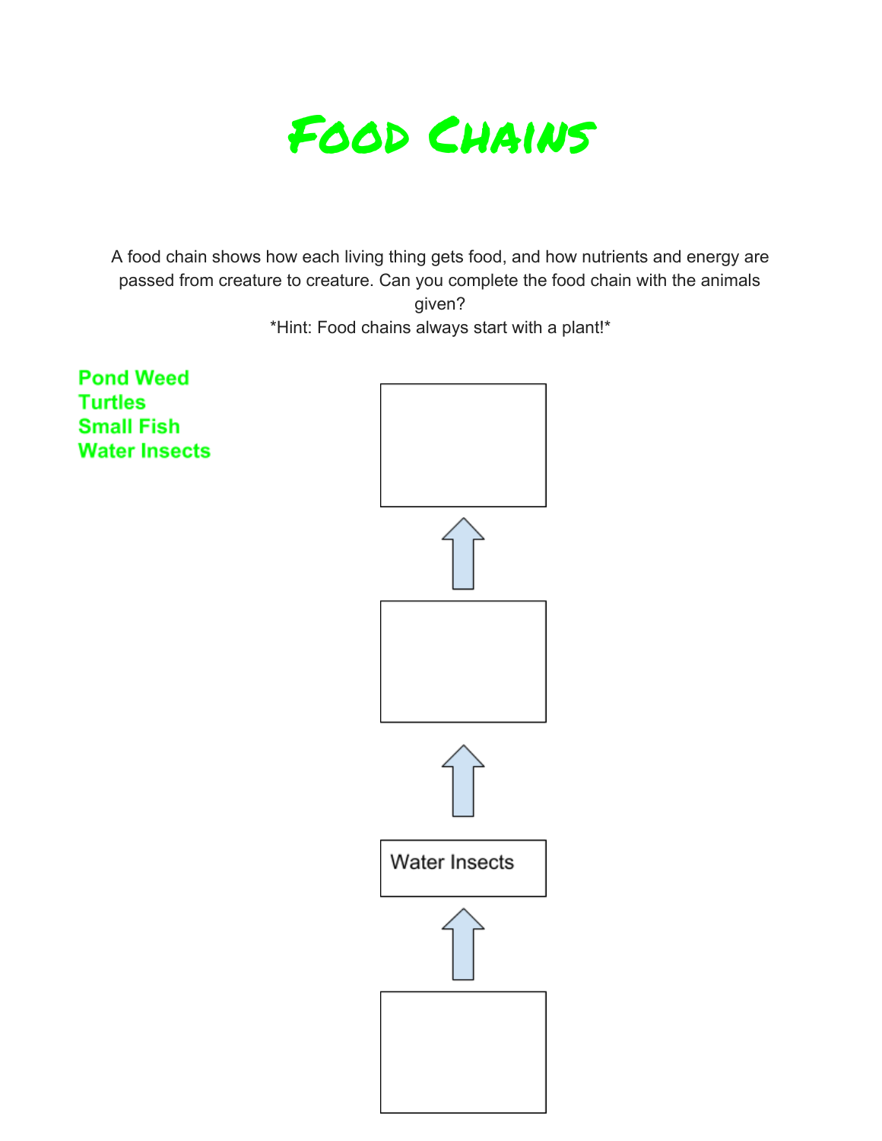

A food chain shows how each living thing gets food, and how nutrients and energy are passed from creature to creature. Can you complete the food chain with the animals given? \*Hint: Food chains always start with a plant!\*

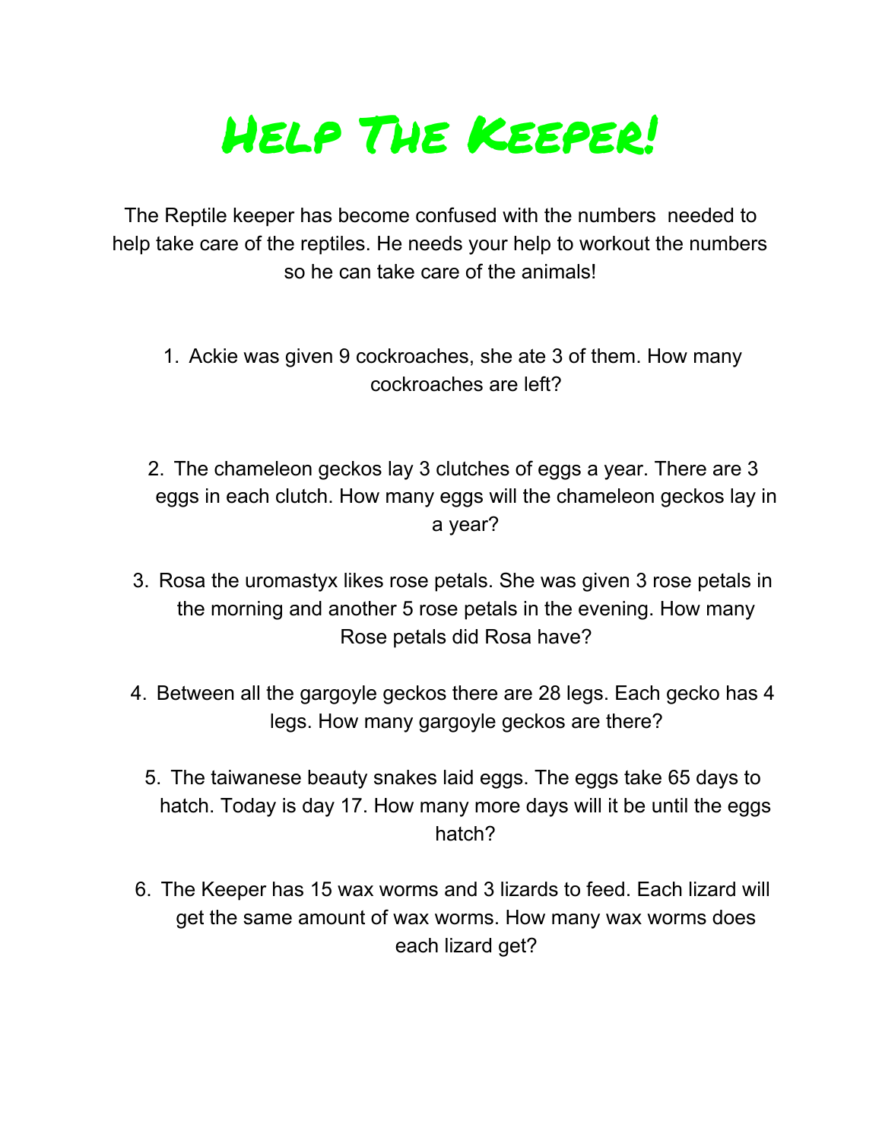# Help The Keeper!

The Reptile keeper has become confused with the numbers needed to help take care of the reptiles. He needs your help to workout the numbers so he can take care of the animals!

- 1. Ackie was given 9 cockroaches, she ate 3 of them. How many cockroaches are left?
- 2. The chameleon geckos lay 3 clutches of eggs a year. There are 3 eggs in each clutch. How many eggs will the chameleon geckos lay in a year?
- 3. Rosa the uromastyx likes rose petals. She was given 3 rose petals in the morning and another 5 rose petals in the evening. How many Rose petals did Rosa have?
- 4. Between all the gargoyle geckos there are 28 legs. Each gecko has 4 legs. How many gargoyle geckos are there?
	- 5. The taiwanese beauty snakes laid eggs. The eggs take 65 days to hatch. Today is day 17. How many more days will it be until the eggs hatch?
- 6. The Keeper has 15 wax worms and 3 lizards to feed. Each lizard will get the same amount of wax worms. How many wax worms does each lizard get?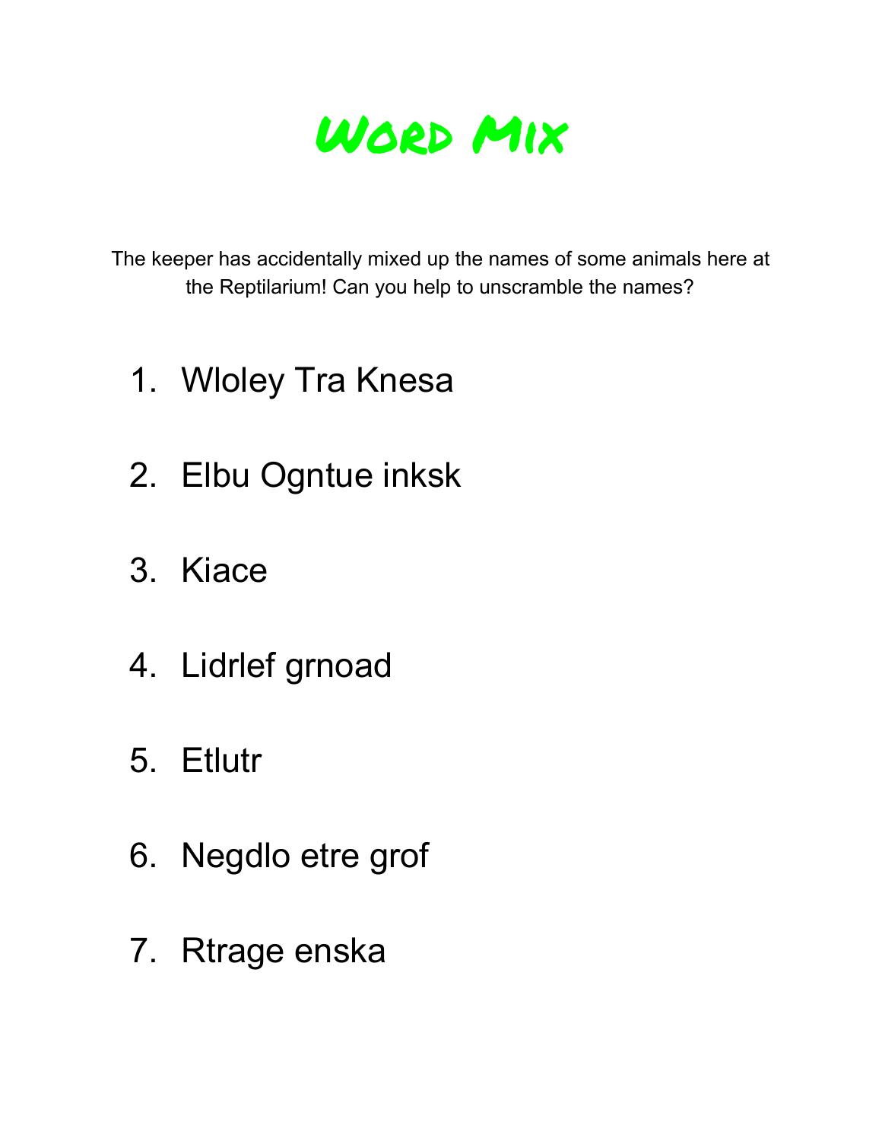

The keeper has accidentally mixed up the names of some animals here at the Reptilarium! Can you help to unscramble the names?

- 1. Wloley Tra Knesa
- 2. Elbu Ogntue inksk
- 3. Kiace
- 4. Lidrlef grnoad
- 5. Etlutr
- 6. Negdlo etre grof
- 7. Rtrage enska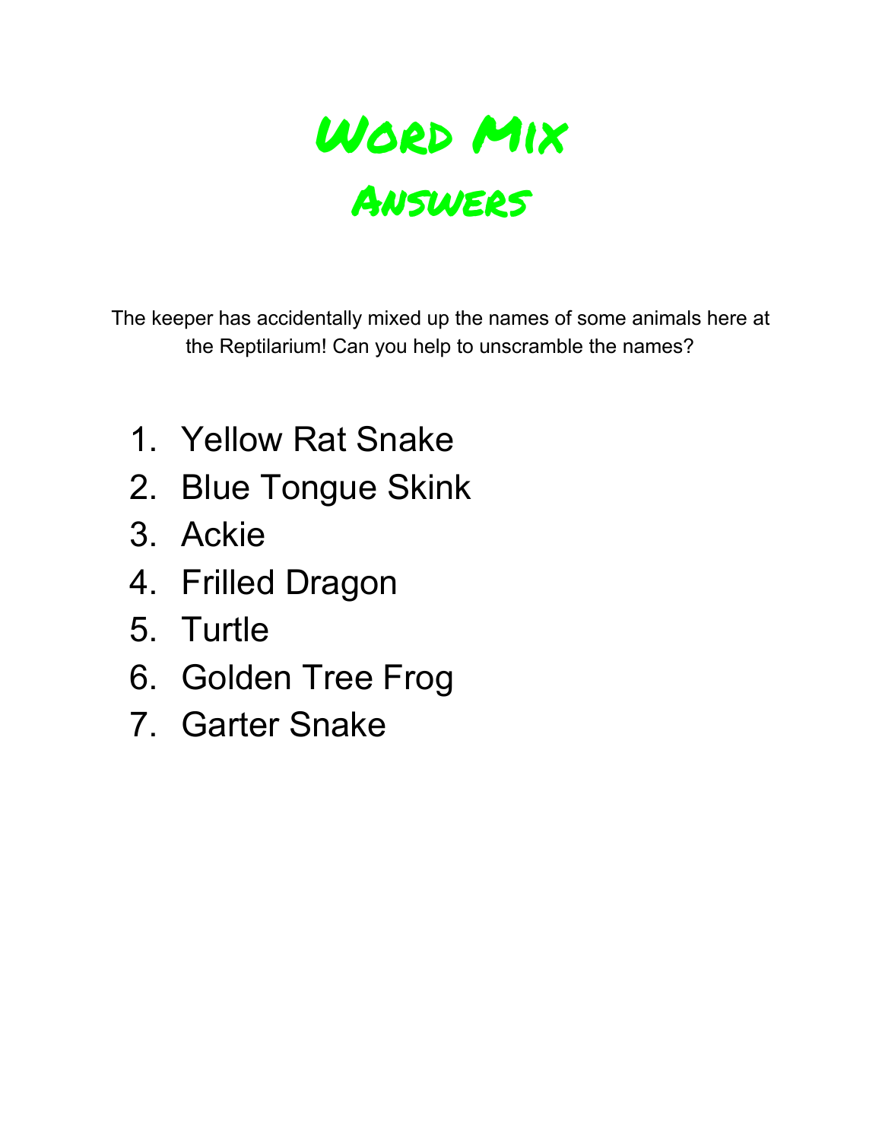

The keeper has accidentally mixed up the names of some animals here at the Reptilarium! Can you help to unscramble the names?

- 1. Yellow Rat Snake
- 2. Blue Tongue Skink
- 3. Ackie
- 4. Frilled Dragon
- 5. Turtle
- 6. Golden Tree Frog
- 7. Garter Snake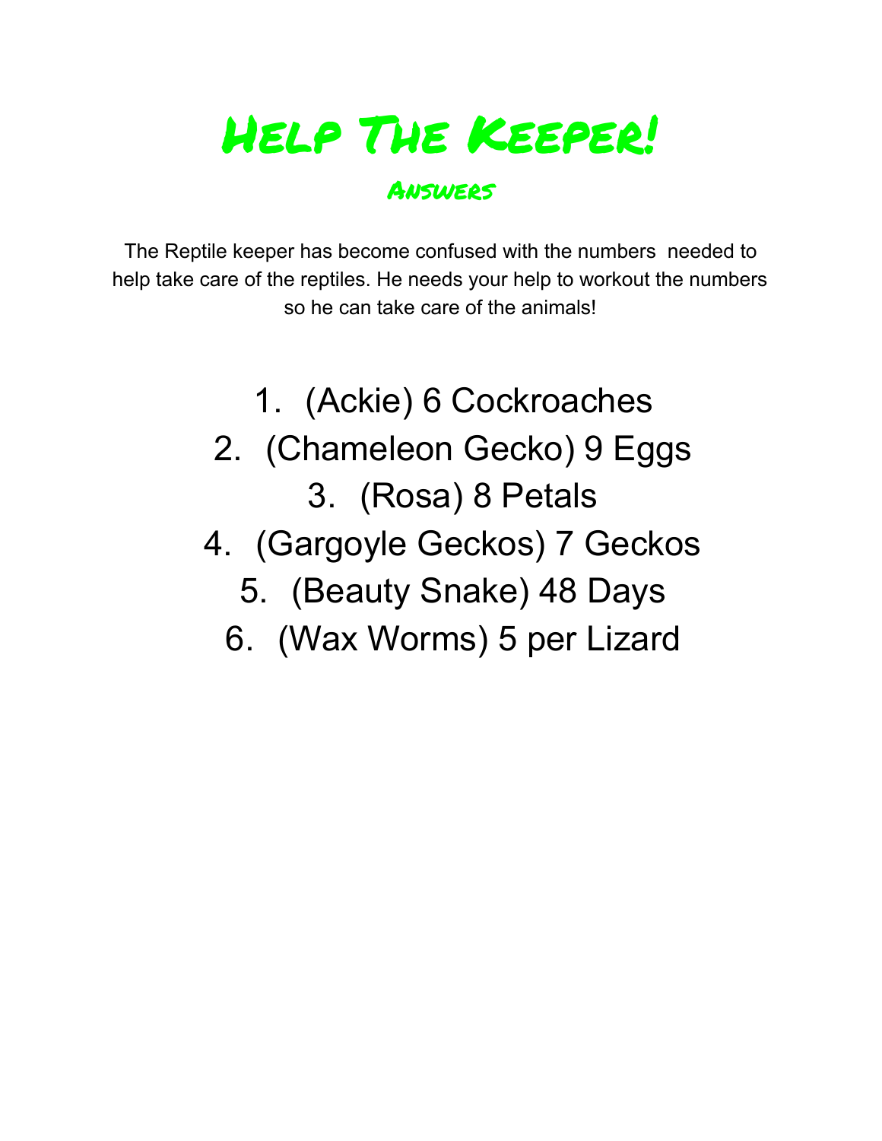# Help The Keeper!

#### Answers

The Reptile keeper has become confused with the numbers needed to help take care of the reptiles. He needs your help to workout the numbers so he can take care of the animals!

- 1. (Ackie) 6 Cockroaches
- 2. (Chameleon Gecko) 9 Eggs 3. (Rosa) 8 Petals
- 4. (Gargoyle Geckos) 7 Geckos
	- 5. (Beauty Snake) 48 Days
	- 6. (Wax Worms) 5 per Lizard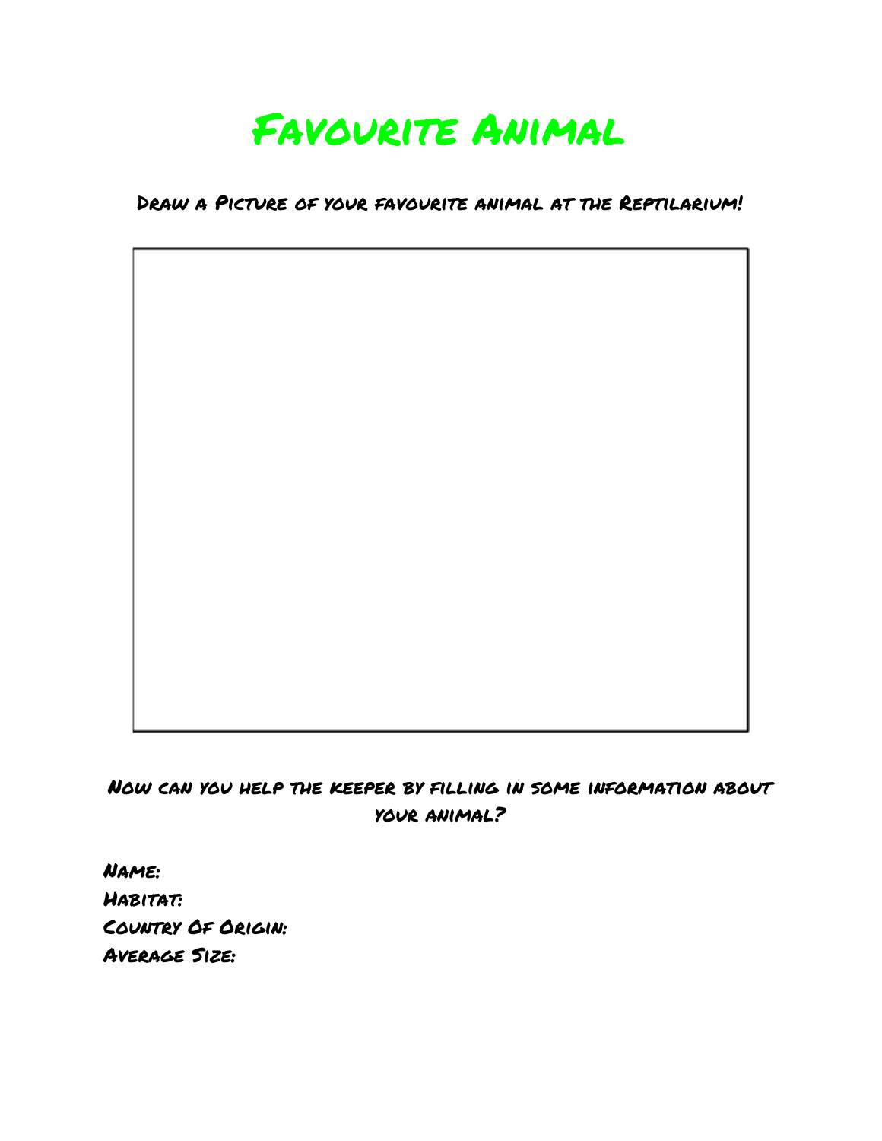

Draw a Picture of your favourite animal at the Reptilarium!

Now can you help the keeper by filling in some information about your animal?

Name: Habitat: Country Of Origin: Average Size: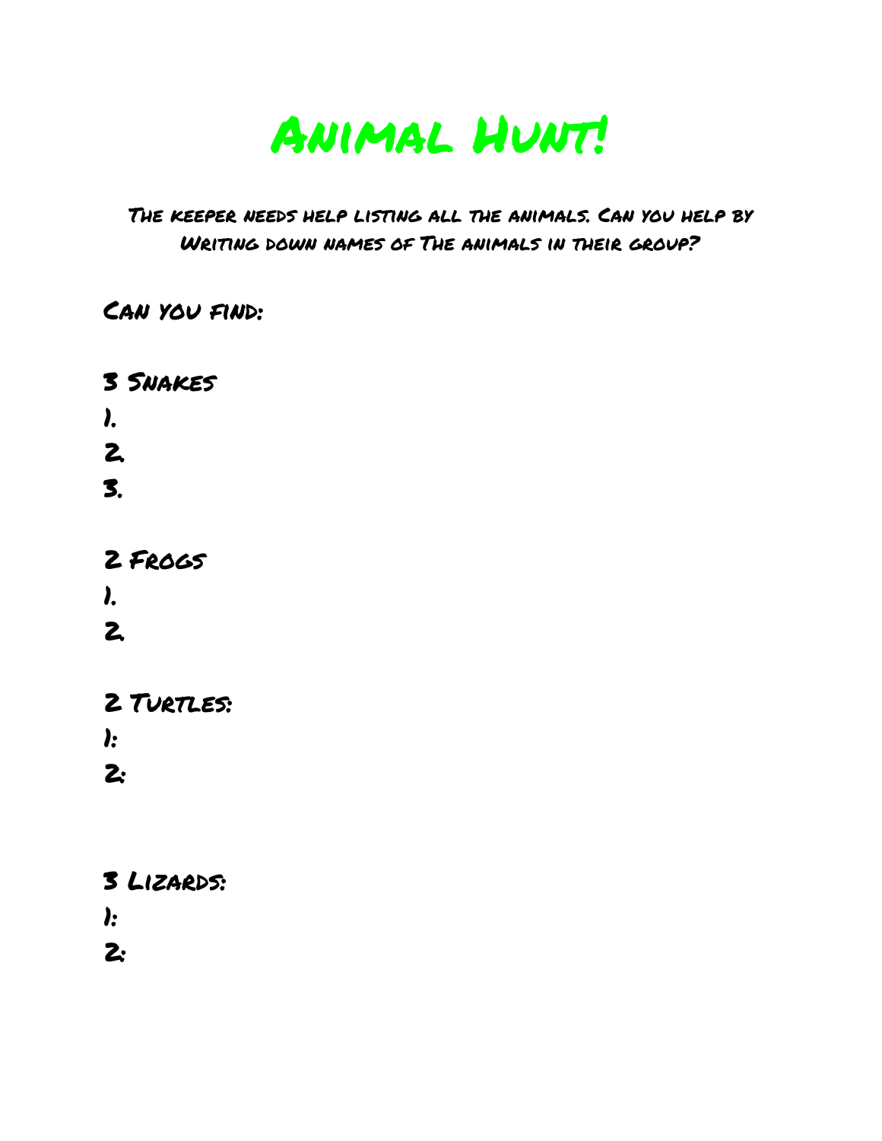

#### The keeper needs help listing all the animals. Can you help by Writing down names of The animals in their group?

#### Can you find:

3 Snakes 1. 2. 3. 2 Frogs 1. 2.

2 TURTLES: 1:

2:

3 Lizards: 1:

2: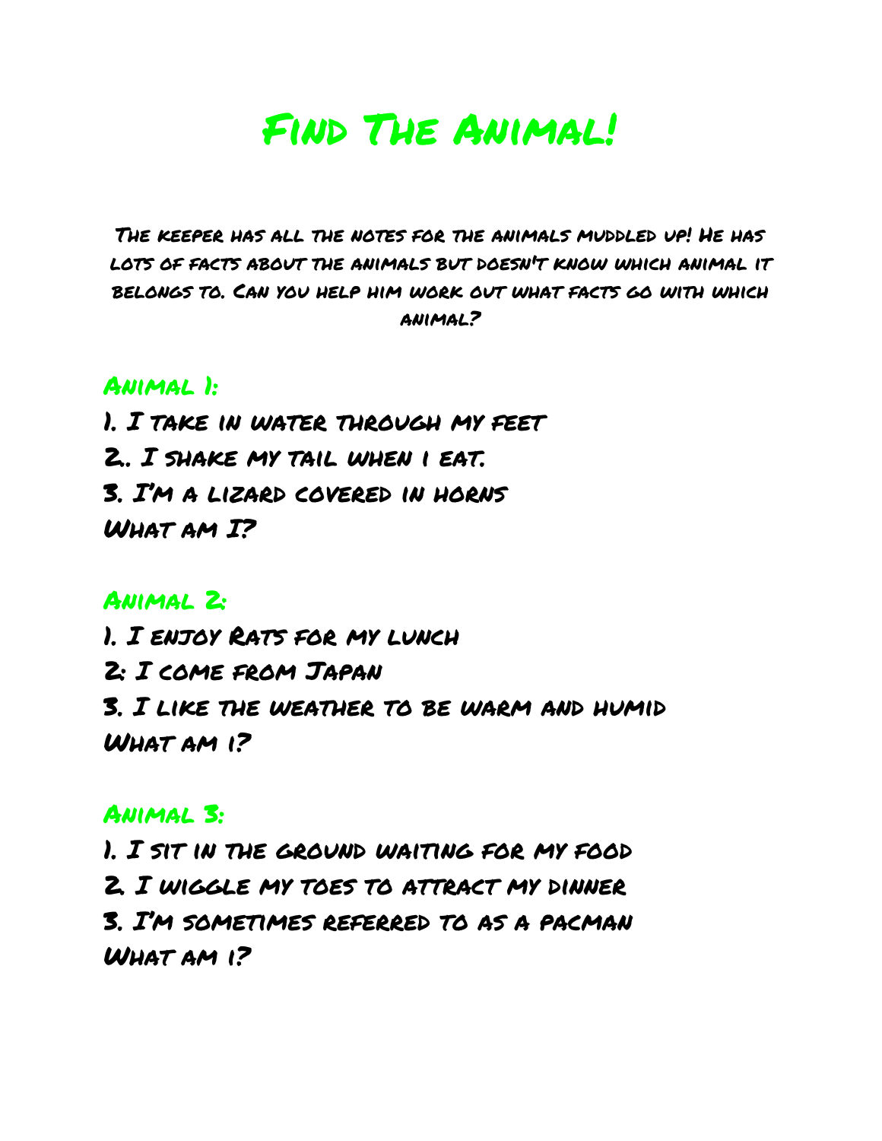### Find The Animal!

The keeper has all the notes for the animals muddled up! He has lots of facts about the animals but doesn't know which animal it belongs to. Can you help him work out what facts go with which animal?

#### Animal 1:

1. I take in water through my feet 2.. I shake my tail when i eat. 3. I'm a lizard covered in horns WHAT AM I?

#### Animal 2:

1. I enjoy Rats for my lunch 2: I come from Japan 3. I like the weather to be warm and humid What am i?

#### Animal 3:

1. I sit in the ground waiting for my food 2. I wiggle my toes to attract my dinner 3. I'm sometimes referred to as a pacman What am i?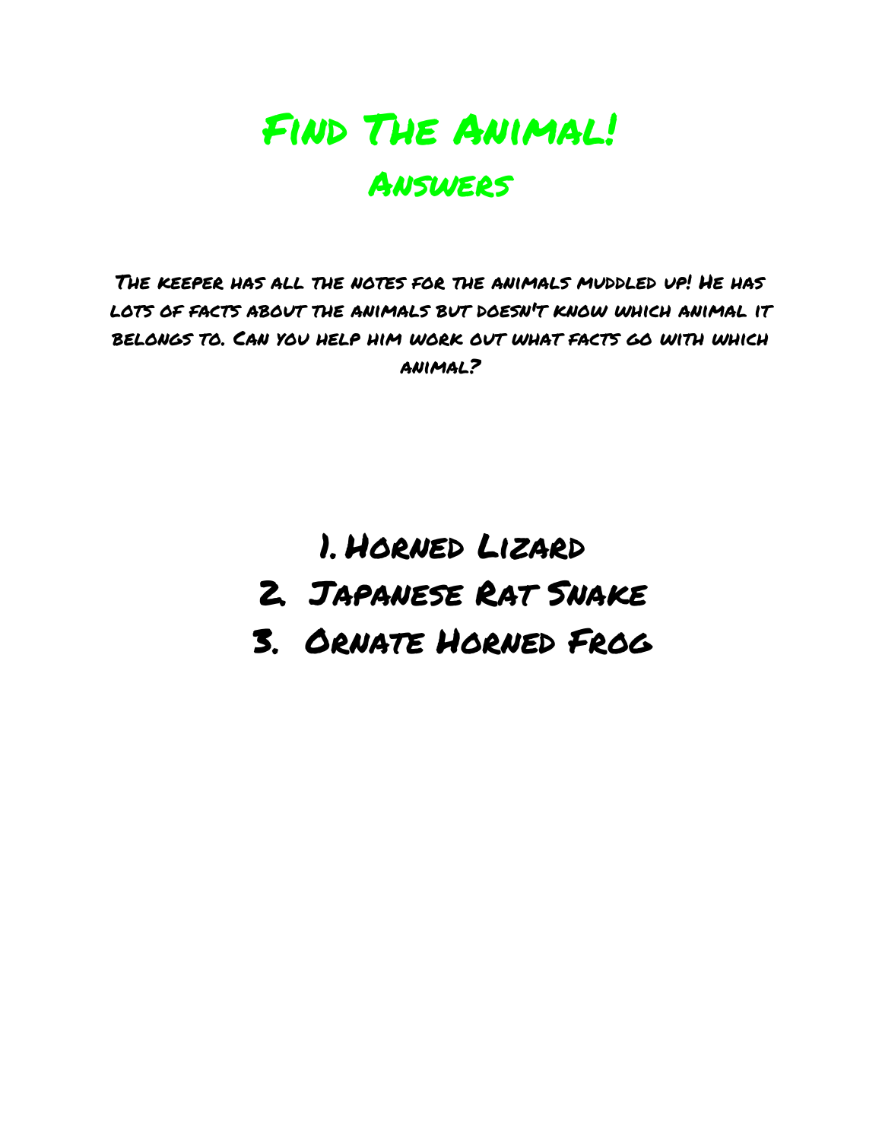

The keeper has all the notes for the animals muddled up! He has lots of facts about the animals but doesn't know which animal it belongs to. Can you help him work out what facts go with which animal?

> 1. Horned Lizard 2. Japanese Rat Snake 3. Ornate Horned Frog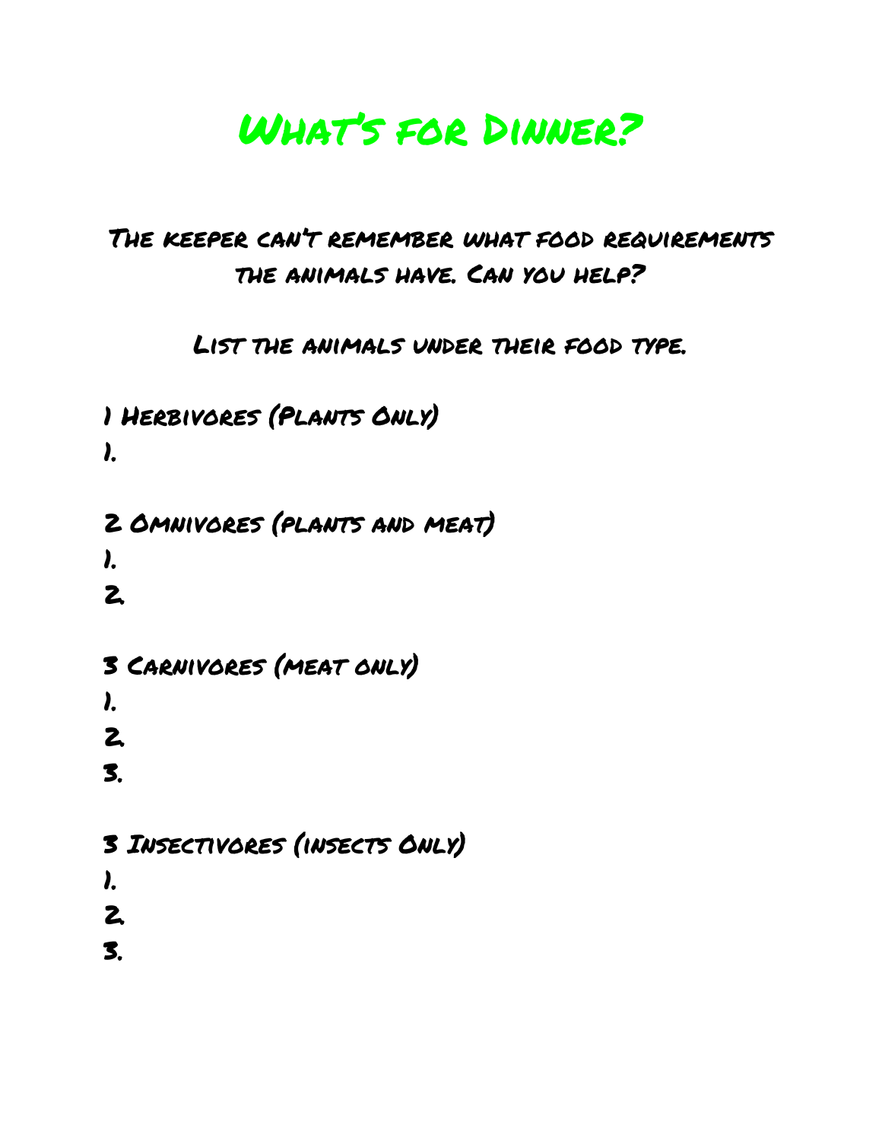### What's for Dinner?

### The keeper can't remember what food requirements the animals have. Can you help?

List the animals under their food type.

1 Herbivores (Plants Only) 1.

2 Omnivores (plants and meat)

1.

2.

3 Carnivores (meat only)

1.

2.

3.

3 Insectivores (insects Only)

1.

2.

3.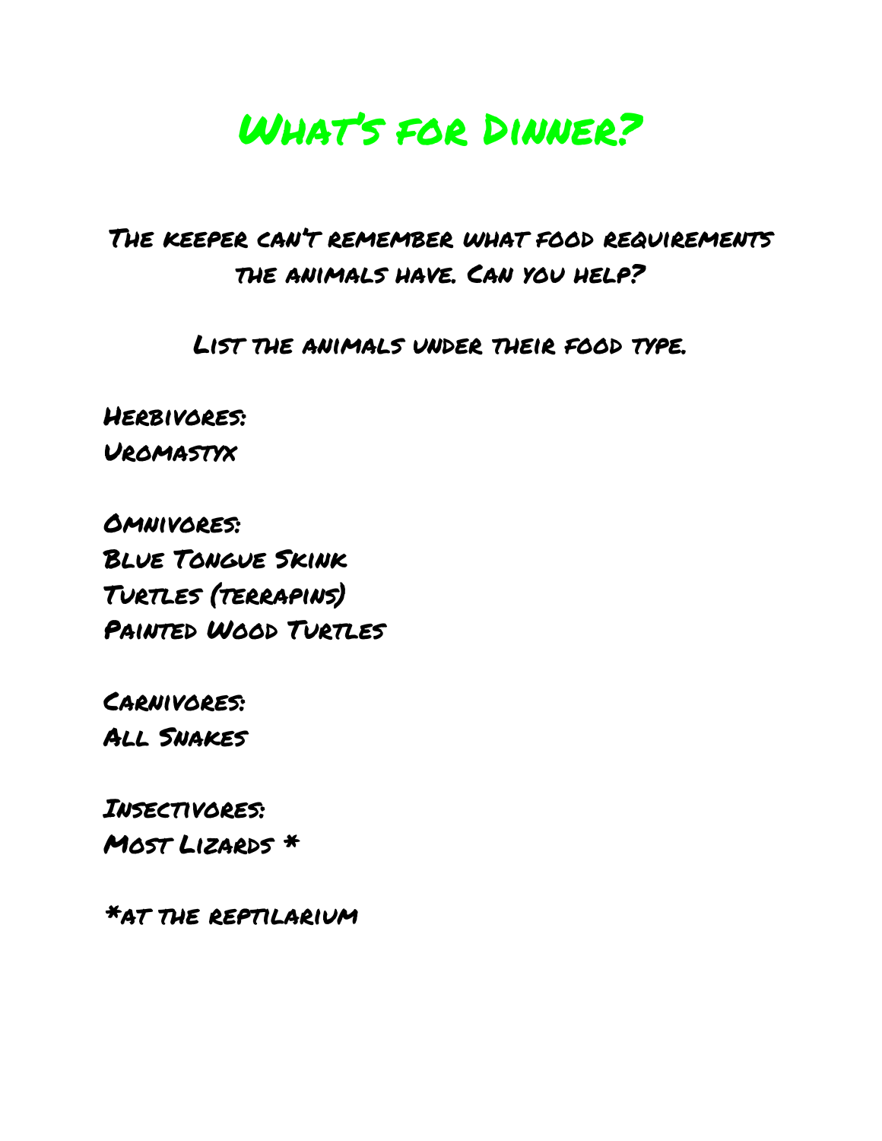### What's for Dinner?

### The keeper can't remember what food requirements the animals have. Can you help?

List the animals under their food type.

Herbivores: Uromastyx

Omnivores: Blue Tongue Skink Turtles (terrapins) Painted Wood Turtles

Carnivores: All Snakes

Insectivores: Most Lizards \*

\*at the reptilarium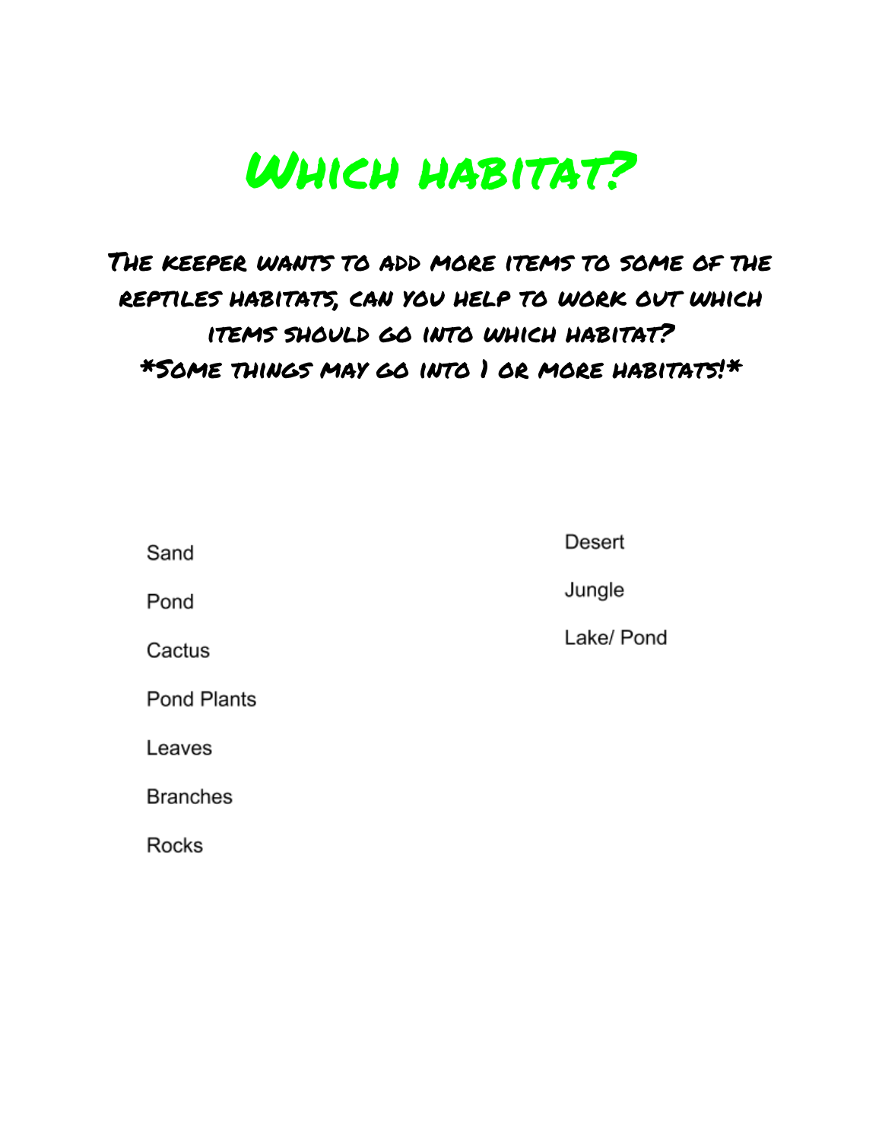# Which habitat?

### The keeper wants to add more items to some of the reptiles habitats, can you help to work out which items should go into which habitat? \*Some things may go into 1 or more habitats!\*

Sand

Desert

Pond

Cactus

**Pond Plants** 

Leaves

**Branches** 

**Rocks** 

Jungle

Lake/ Pond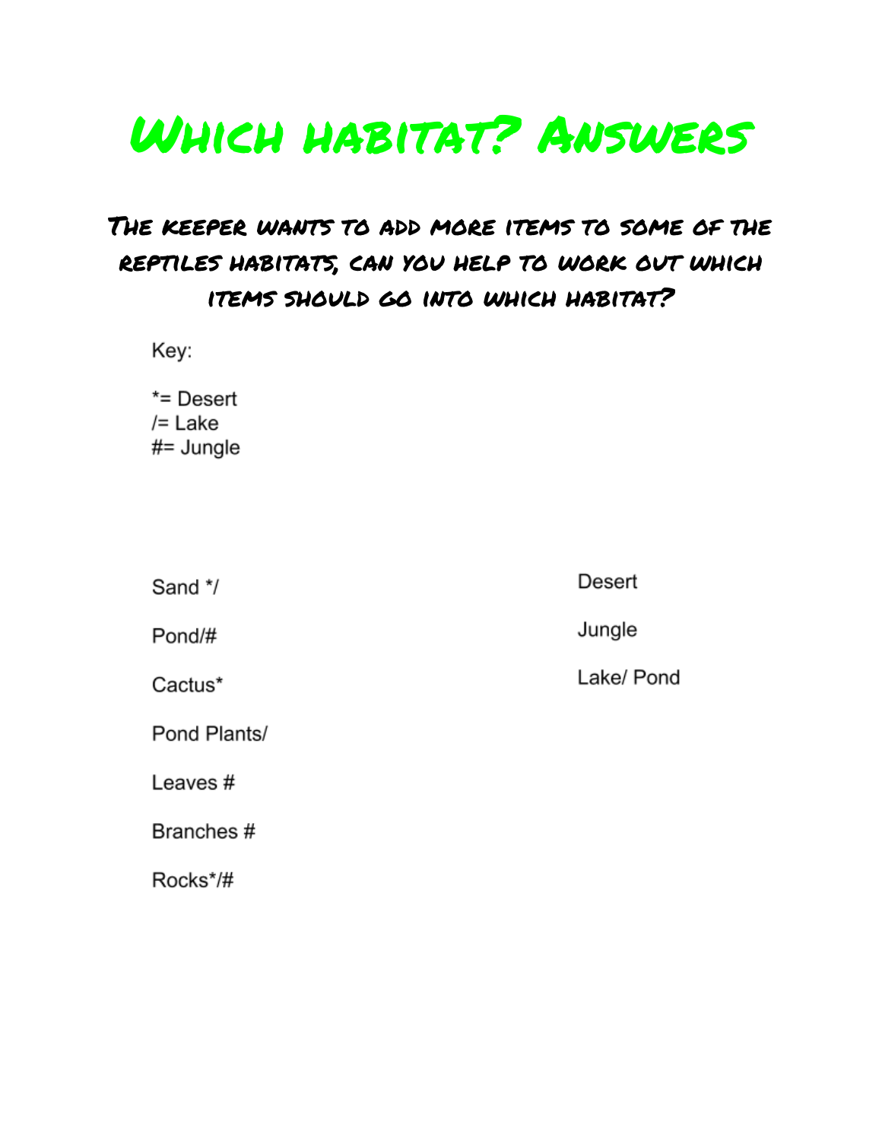# Which habitat? Answers

### The keeper wants to add more items to some of the reptiles habitats, can you help to work out which items should go into which habitat?

Key:

 $*$ = Desert  $/=$  Lake  $#$ = Jungle

| Sand */      | Desert     |
|--------------|------------|
| Pond/#       | Jungle     |
| Cactus*      | Lake/ Pond |
| Pond Plants/ |            |
| Leaves#      |            |
| Branches #   |            |
| Rocks*/#     |            |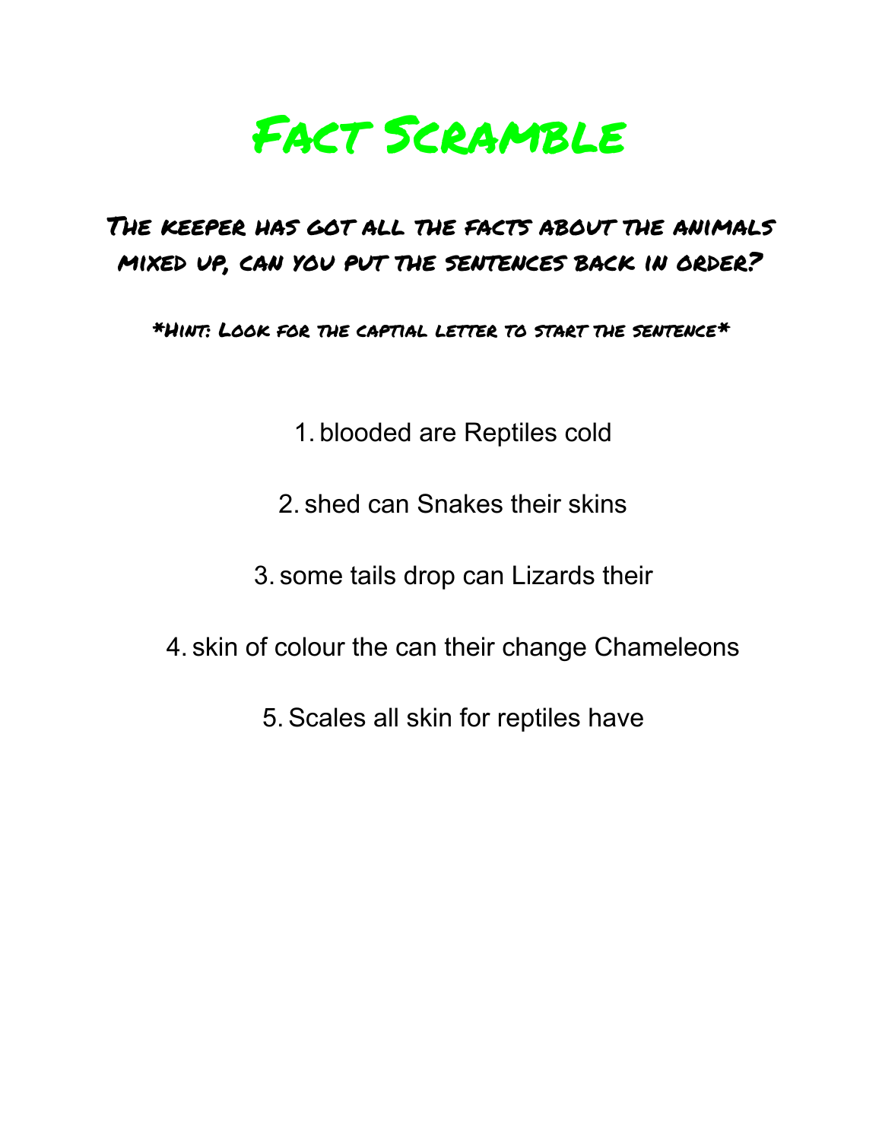# Fact Scramble

### The keeper has got all the facts about the animals mixed up, can you put the sentences back in order?

\*Hint: Look for the captial letter to start the sentence\*

1. blooded are Reptiles cold

2. shed can Snakes their skins

3. some tails drop can Lizards their

4. skin of colour the can their change Chameleons

5. Scales all skin for reptiles have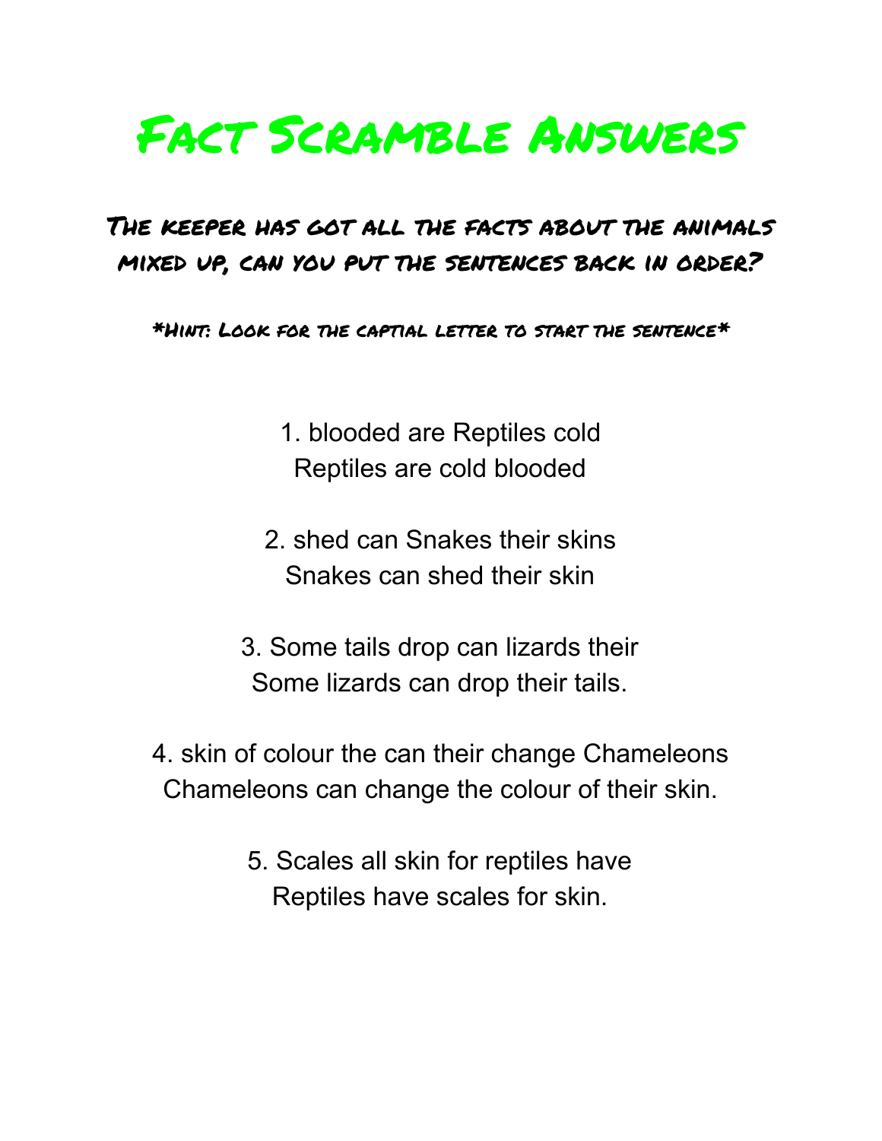# Fact Scramble Answers

### The keeper has got all the facts about the animals mixed up, can you put the sentences back in order?

\*Hint: Look for the captial letter to start the sentence\*

1. blooded are Reptiles cold Reptiles are cold blooded

- 2. shed can Snakes their skins Snakes can shed their skin
- 3. Some tails drop can lizards their Some lizards can drop their tails.
- 4. skin of colour the can their change Chameleons Chameleons can change the colour of their skin.
	- 5. Scales all skin for reptiles have Reptiles have scales for skin.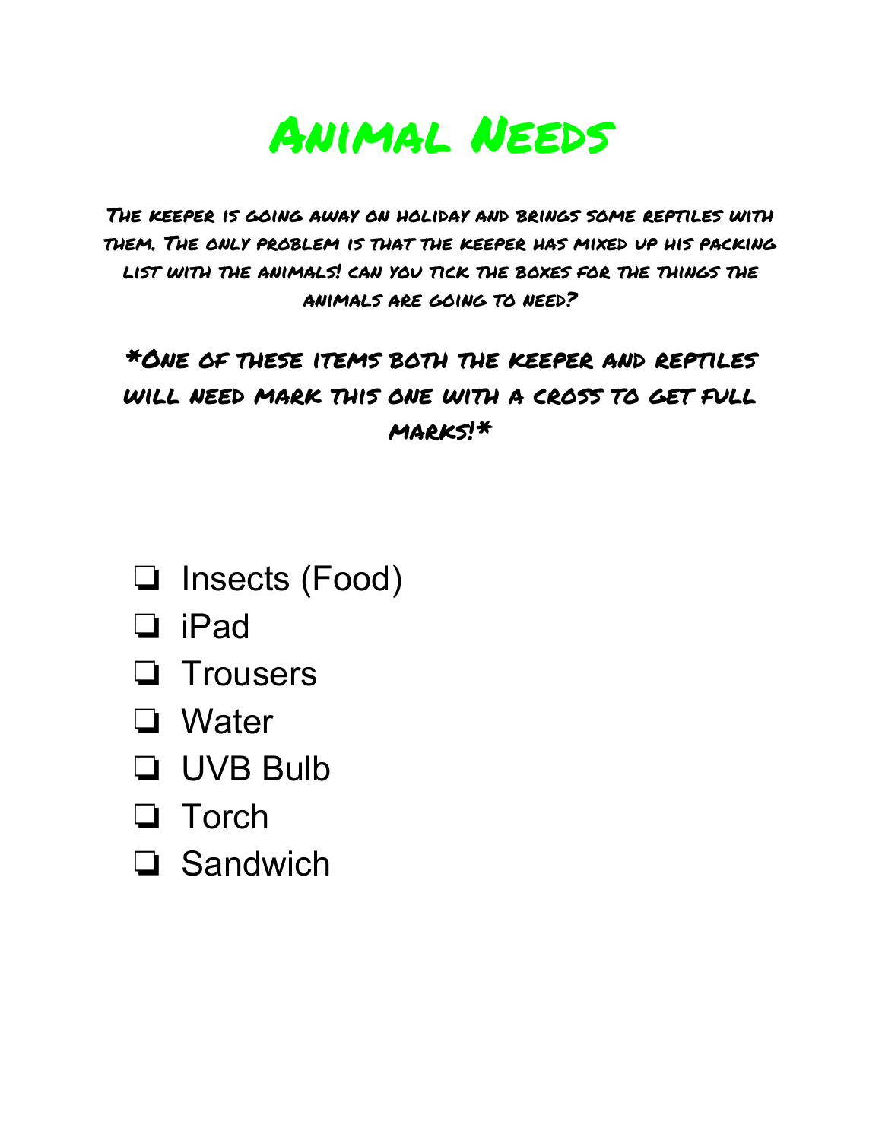

The keeper is going away on holiday and brings some reptiles with them. The only problem is that the keeper has mixed up his packing list with the animals! can you tick the boxes for the things the animals are going to need?

### \*One of these items both the keeper and reptiles will need mark this one with a cross to get full marks!\*

- ❏ Insects (Food)
- ❏ iPad
- ❏ Trousers
- ❏ Water
- ❏ UVB Bulb
- ❏ Torch
- ❏ Sandwich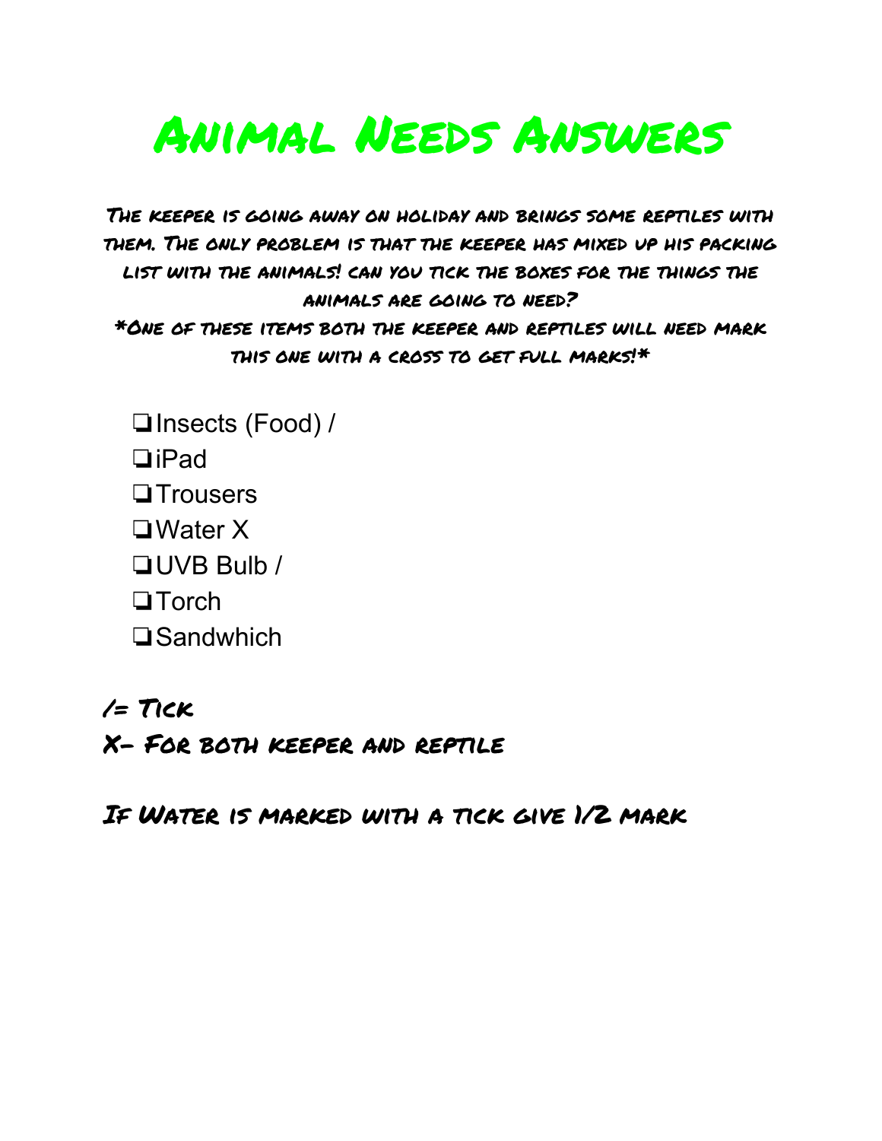# Animal Needs Answers

The keeper is going away on holiday and brings some reptiles with them. The only problem is that the keeper has mixed up his packing list with the animals! can you tick the boxes for the things the animals are going to need? \*One of these items both the keeper and reptiles will need mark this one with a cross to get full marks!\*

❏Insects (Food) / ❏iPad ❏Trousers ❏Water X ❏UVB Bulb / ❏Torch ❏Sandwhich

/= Tick

X- For both keeper and reptile

If Water is marked with a tick give 1/2 mark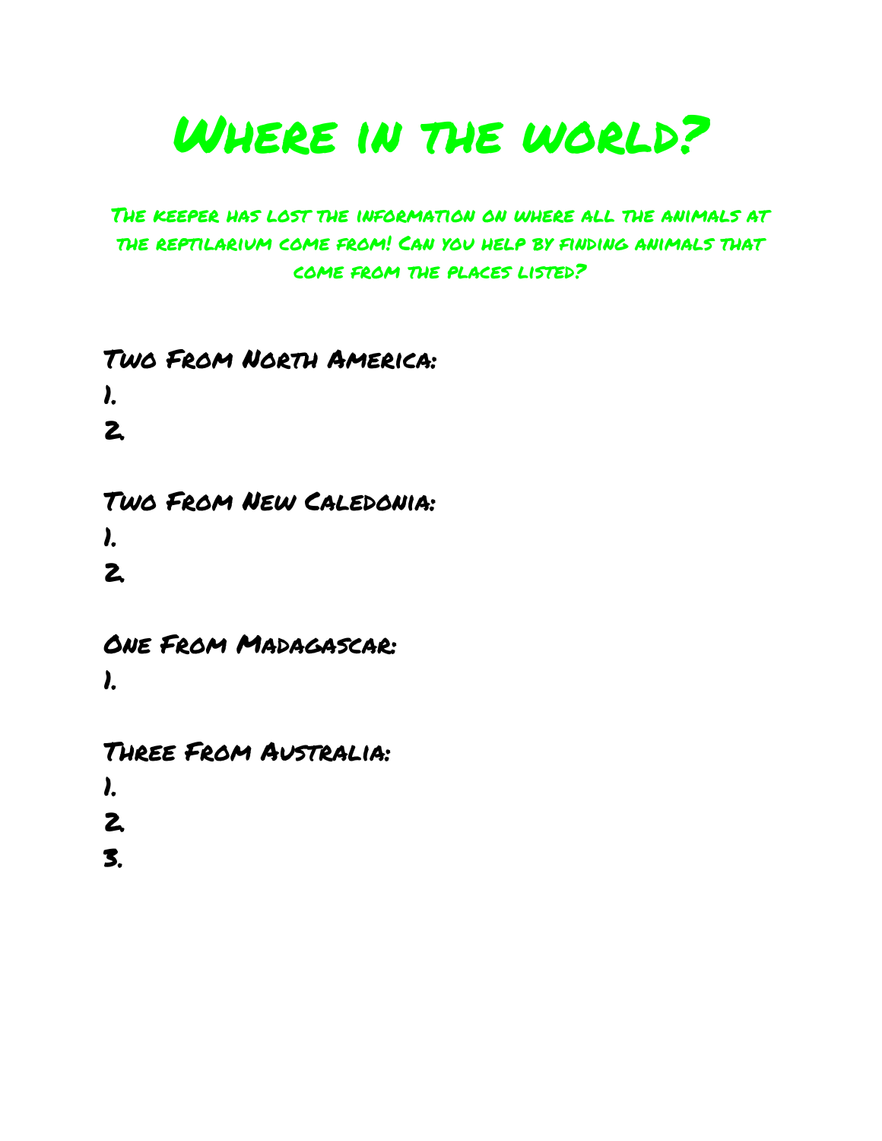# WHERE IN THE WORLD?

#### The keeper has lost the information on where all the animals at the reptilarium come from! Can you help by finding animals that come from the places listed?

#### Two From North America:

1. 2.

### Two From New Caledonia: 1.

2.

### One From Madagascar: 1.

Three From Australia: 1. 2.

3.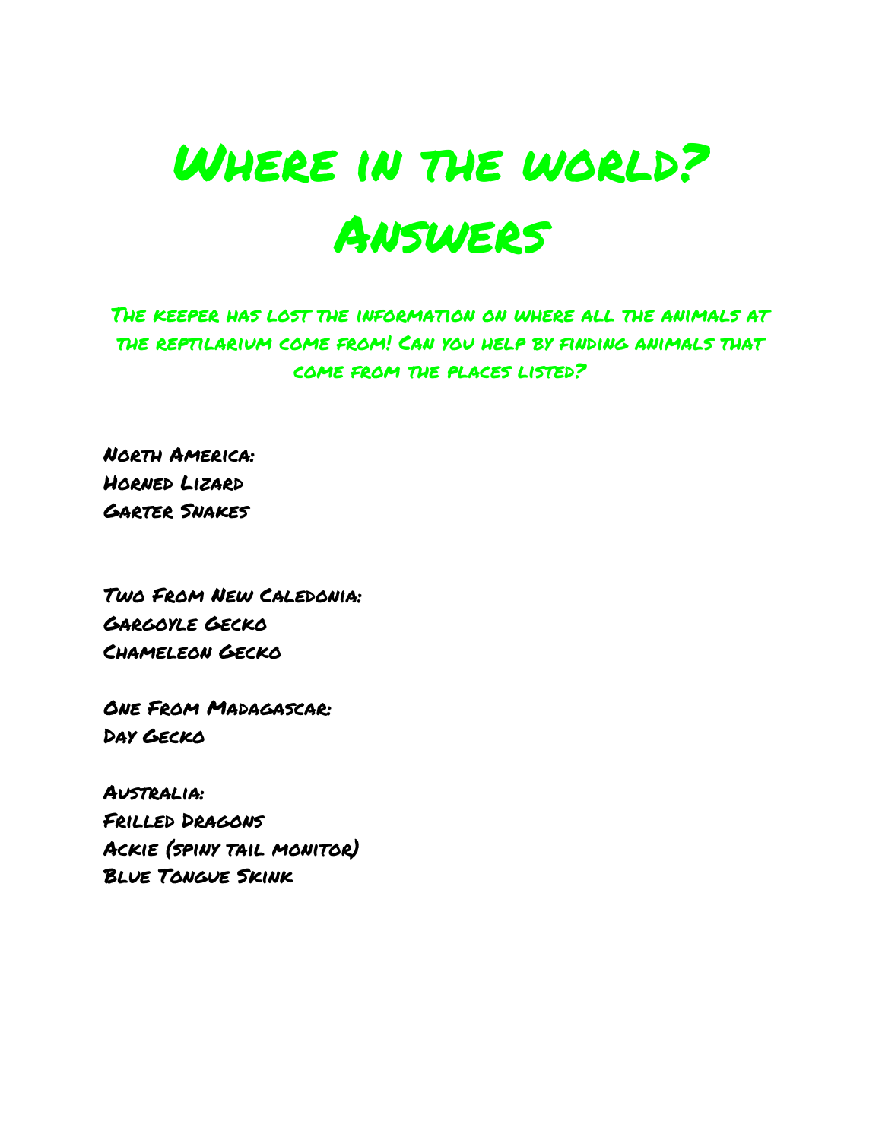# WHERE IN THE WORLD? Answers

The keeper has lost the information on where all the animals at the reptilarium come from! Can you help by finding animals that come from the places listed?

North America: Horned Lizard Garter Snakes

Two From New Caledonia: Gargoyle Gecko Chameleon Gecko

One From Madagascar: Day Gecko

Australia: Frilled Dragons Ackie (spiny tail monitor) Blue Tongue Skink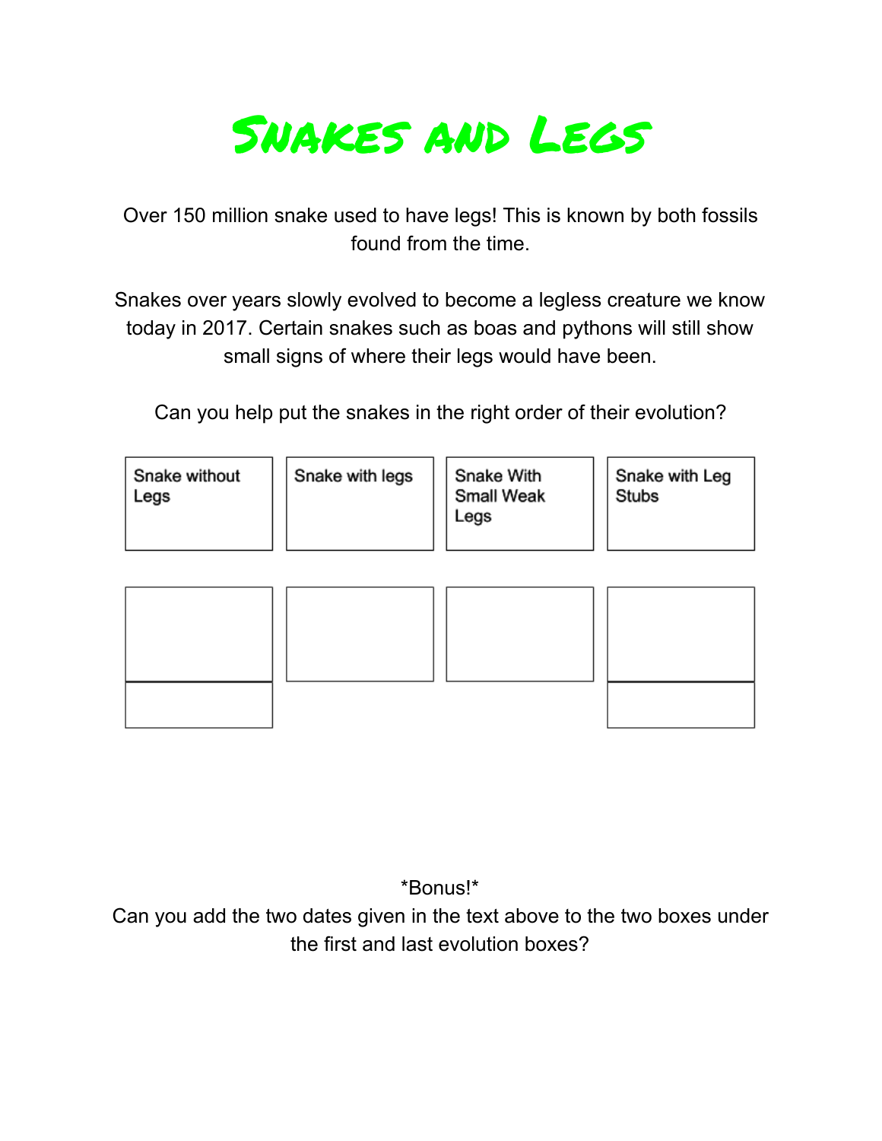

Over 150 million snake used to have legs! This is known by both fossils found from the time.

Snakes over years slowly evolved to become a legless creature we know today in 2017. Certain snakes such as boas and pythons will still show small signs of where their legs would have been.

Can you help put the snakes in the right order of their evolution?

| Snake with legs<br>Snake without<br>Legs | Snake With<br><b>Small Weak</b><br>Legs | Snake with Leg<br><b>Stubs</b> |
|------------------------------------------|-----------------------------------------|--------------------------------|
|------------------------------------------|-----------------------------------------|--------------------------------|



\*Bonus!\*

Can you add the two dates given in the text above to the two boxes under the first and last evolution boxes?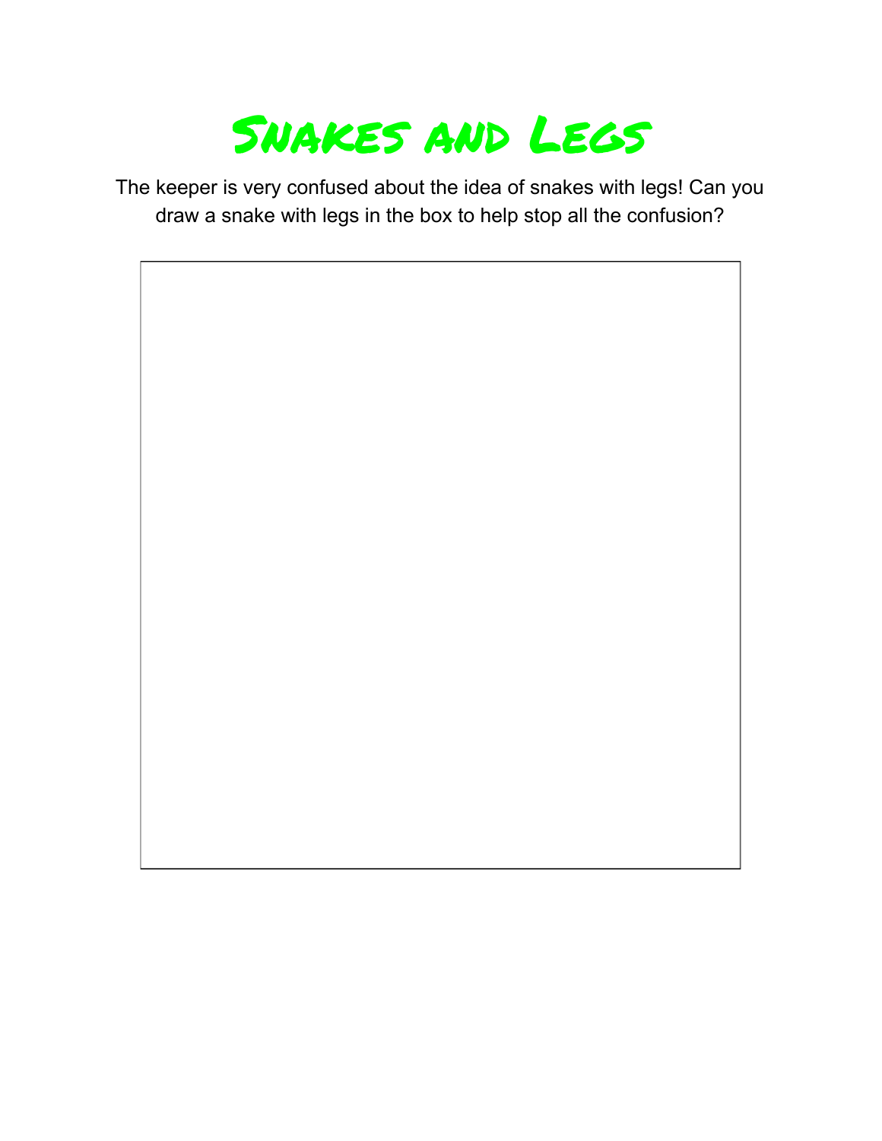

The keeper is very confused about the idea of snakes with legs! Can you draw a snake with legs in the box to help stop all the confusion?

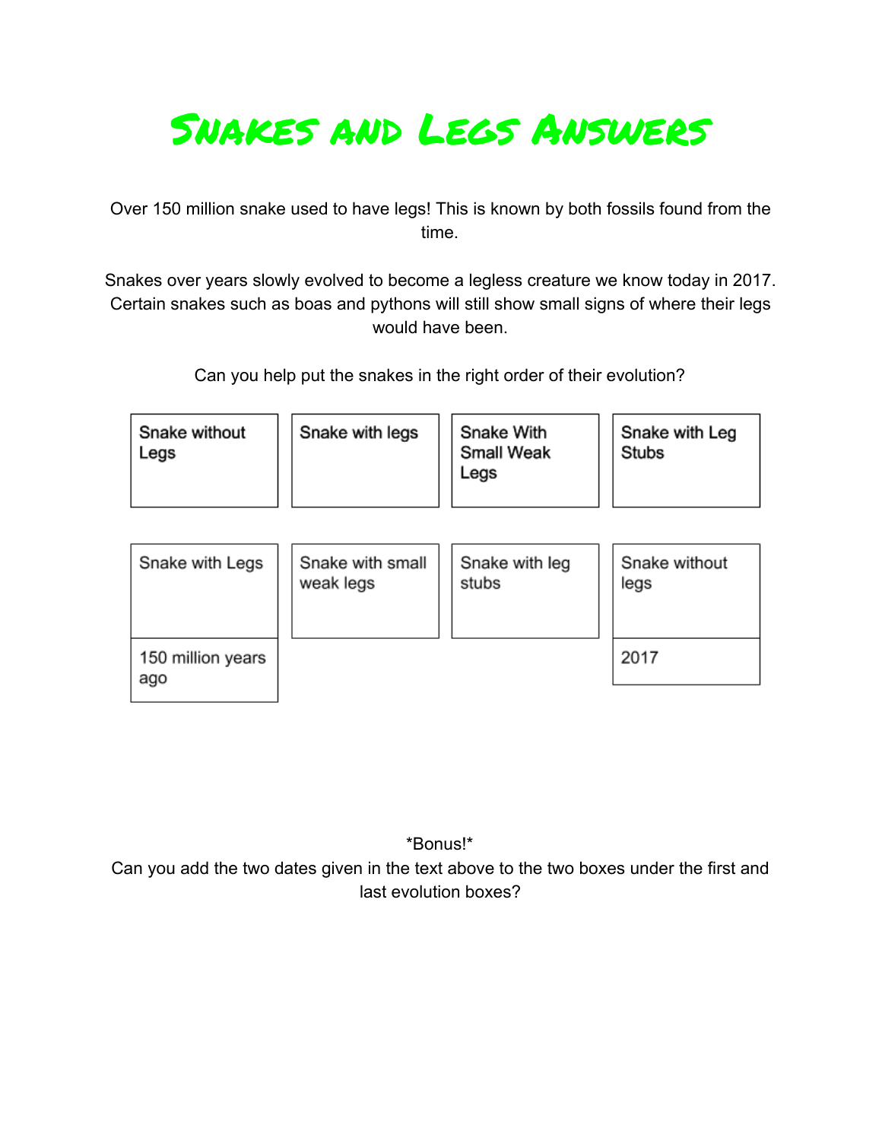## Snakes and Legs Answers

Over 150 million snake used to have legs! This is known by both fossils found from the time.

Snakes over years slowly evolved to become a legless creature we know today in 2017. Certain snakes such as boas and pythons will still show small signs of where their legs would have been.

Can you help put the snakes in the right order of their evolution?

| Snake without<br>Legs | Snake with legs  | Snake With<br><b>Small Weak</b><br>Legs | Snake with Leg<br><b>Stubs</b> |  |  |
|-----------------------|------------------|-----------------------------------------|--------------------------------|--|--|
| Snake with Legs       | Snake with small | Snake with leg                          | Snake without                  |  |  |
|                       | weak legs        | stubs                                   | legs                           |  |  |

| 150 million years<br>ago |  | 2017 |
|--------------------------|--|------|

\*Bonus!\* Can you add the two dates given in the text above to the two boxes under the first and last evolution boxes?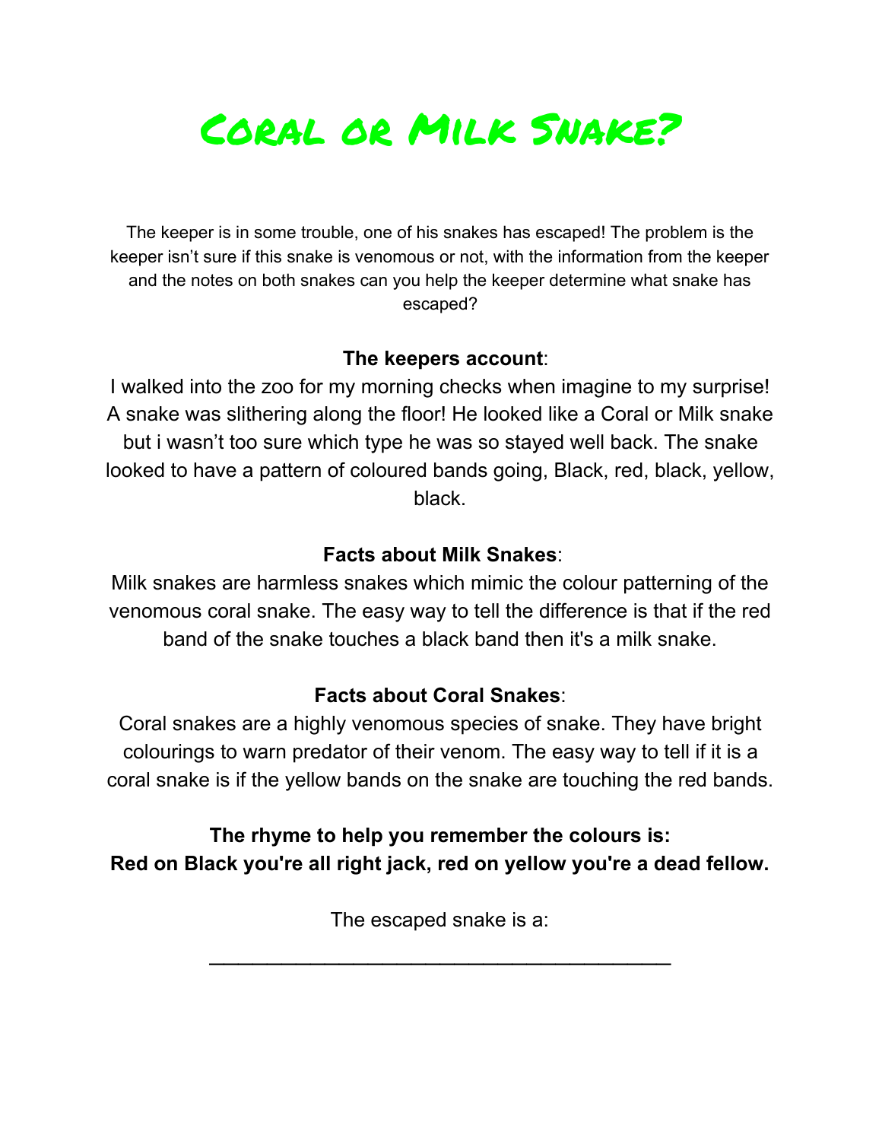

The keeper is in some trouble, one of his snakes has escaped! The problem is the keeper isn't sure if this snake is venomous or not, with the information from the keeper and the notes on both snakes can you help the keeper determine what snake has escaped?

#### **The keepers account**:

I walked into the zoo for my morning checks when imagine to my surprise! A snake was slithering along the floor! He looked like a Coral or Milk snake but i wasn't too sure which type he was so stayed well back. The snake looked to have a pattern of coloured bands going, Black, red, black, yellow, black.

#### **Facts about Milk Snakes**:

Milk snakes are harmless snakes which mimic the colour patterning of the venomous coral snake. The easy way to tell the difference is that if the red band of the snake touches a black band then it's a milk snake.

#### **Facts about Coral Snakes**:

Coral snakes are a highly venomous species of snake. They have bright colourings to warn predator of their venom. The easy way to tell if it is a coral snake is if the yellow bands on the snake are touching the red bands.

**The rhyme to help you remember the colours is: Red on Black you're all right jack, red on yellow you're a dead fellow.**

The escaped snake is a:

 $\mathcal{L}_\text{max}$  , which is a set of the set of the set of the set of the set of the set of the set of the set of the set of the set of the set of the set of the set of the set of the set of the set of the set of the set of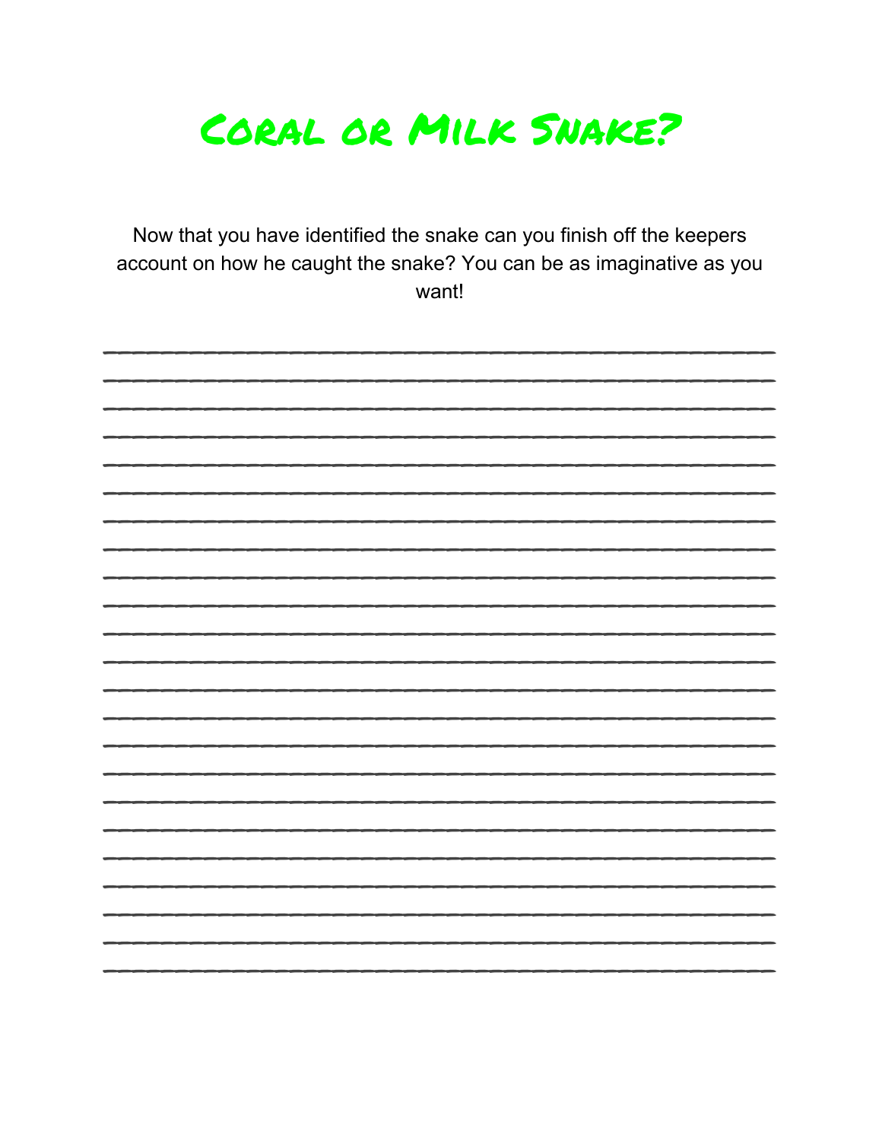

Now that you have identified the snake can you finish off the keepers account on how he caught the snake? You can be as imaginative as you want!

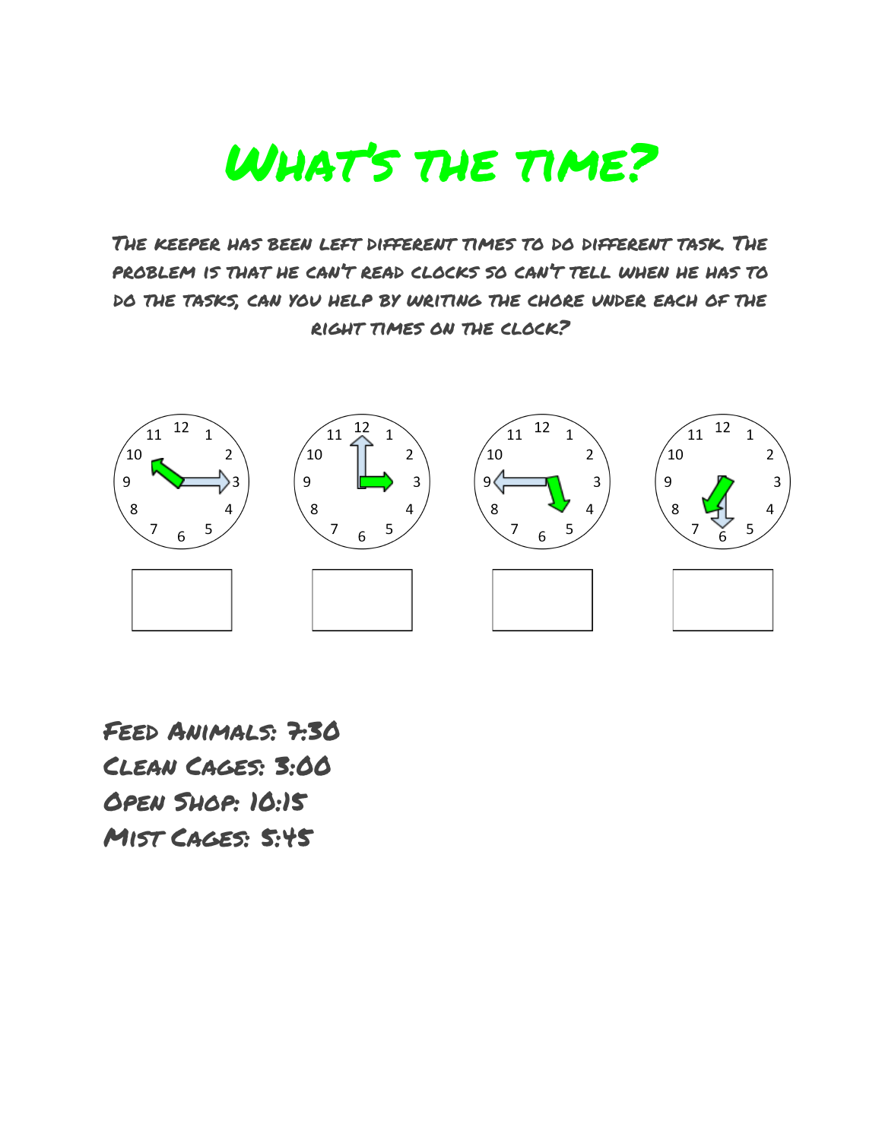

The keeper has been left different times to do different task. The problem is that he can't read clocks so can't tell when he has to do the tasks, can you help by writing the chore under each of the right times on the clock?



Feed Animals: 7:30 Clean Cages: 3:00 Open Shop: 10:15 Mist Cages: 5:45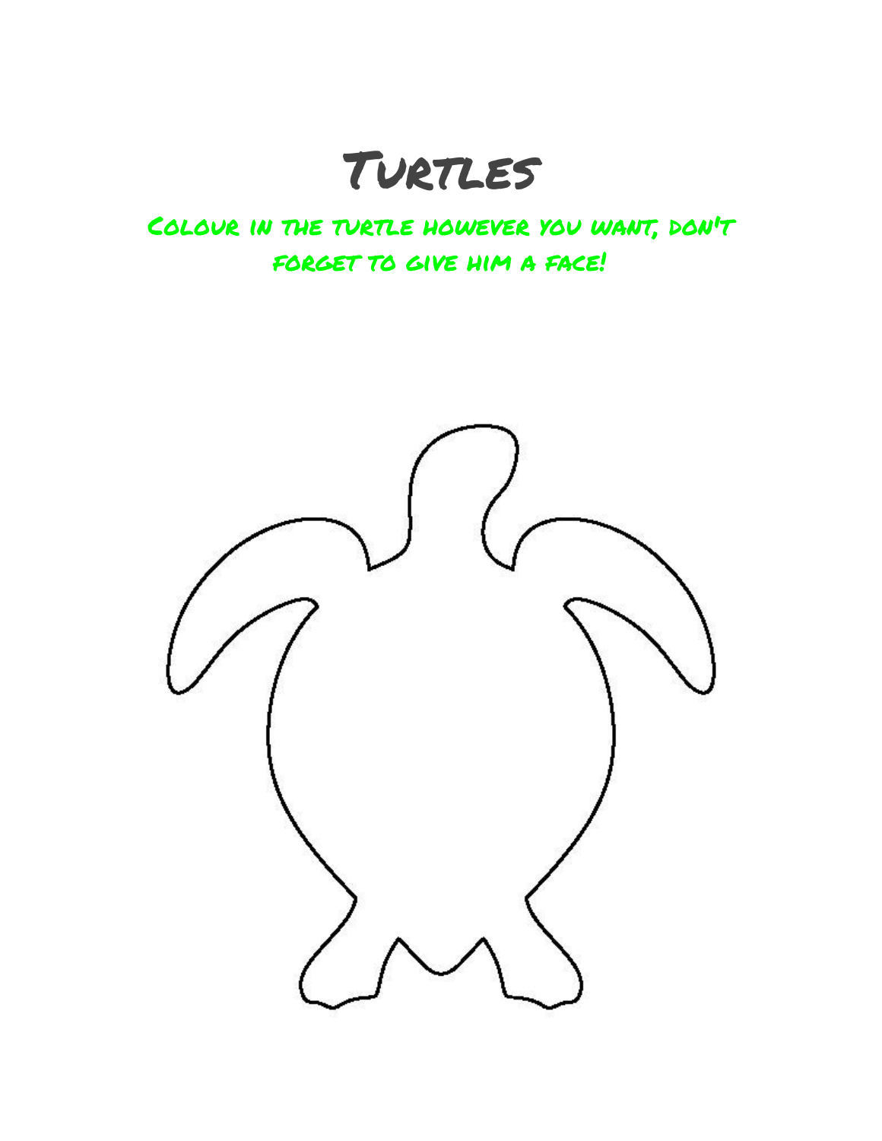# TURTLES

### Colour in the turtle however you want, don't FORGET TO GIVE HIM A FACE!